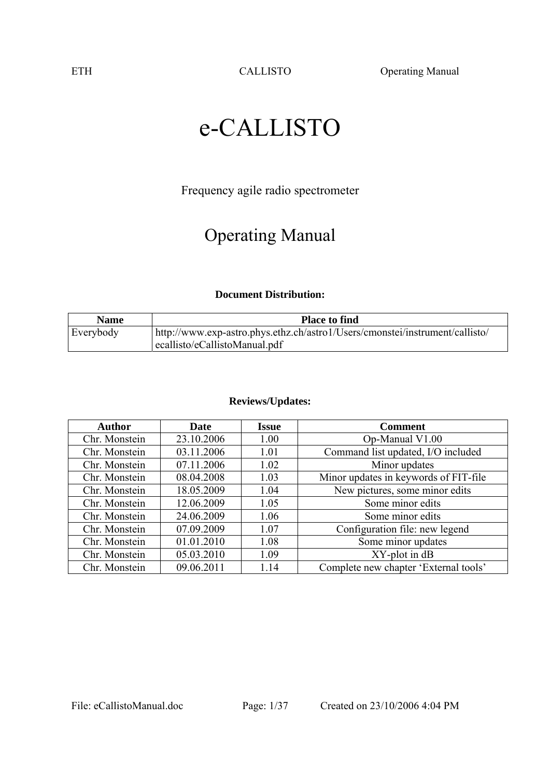ETH CALLISTO Operating Manual

# e-CALLISTO

Frequency agile radio spectrometer

## Operating Manual

#### **Document Distribution:**

| <b>Name</b> | <b>Place to find</b>                                                                                          |
|-------------|---------------------------------------------------------------------------------------------------------------|
| Everybody   | http://www.exp-astro.phys.ethz.ch/astro1/Users/cmonstei/instrument/callisto/<br>ecallisto/eCallistoManual.pdf |
|             |                                                                                                               |

### **Reviews/Updates:**

| <b>Author</b> | Date       | <b>Issue</b> | <b>Comment</b>                        |
|---------------|------------|--------------|---------------------------------------|
| Chr. Monstein | 23.10.2006 | 1.00         | Op-Manual V1.00                       |
| Chr. Monstein | 03.11.2006 | 1.01         | Command list updated, I/O included    |
| Chr. Monstein | 07.11.2006 | 1.02         | Minor updates                         |
| Chr. Monstein | 08.04.2008 | 1.03         | Minor updates in keywords of FIT-file |
| Chr. Monstein | 18.05.2009 | 1.04         | New pictures, some minor edits        |
| Chr. Monstein | 12.06.2009 | 1.05         | Some minor edits                      |
| Chr. Monstein | 24.06.2009 | 1.06         | Some minor edits                      |
| Chr. Monstein | 07.09.2009 | 1.07         | Configuration file: new legend        |
| Chr. Monstein | 01.01.2010 | 1.08         | Some minor updates                    |
| Chr. Monstein | 05.03.2010 | 1.09         | XY-plot in dB                         |
| Chr. Monstein | 09.06.2011 | 1.14         | Complete new chapter 'External tools' |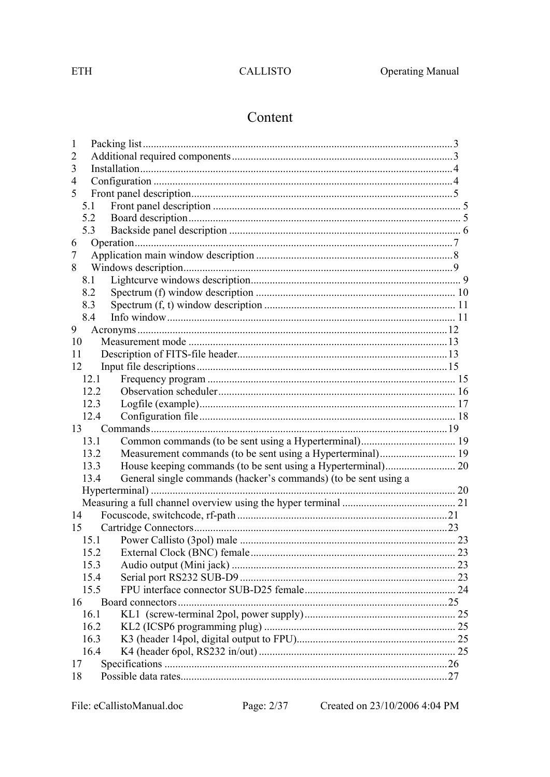## CALLISTO

## Content

| 1  |                                                                         |  |  |  |  |
|----|-------------------------------------------------------------------------|--|--|--|--|
| 2  |                                                                         |  |  |  |  |
| 3  |                                                                         |  |  |  |  |
| 4  |                                                                         |  |  |  |  |
| 5  |                                                                         |  |  |  |  |
|    | 5.1                                                                     |  |  |  |  |
|    | 5.2                                                                     |  |  |  |  |
|    | 5.3                                                                     |  |  |  |  |
| 6  |                                                                         |  |  |  |  |
| 7  |                                                                         |  |  |  |  |
| 8  |                                                                         |  |  |  |  |
|    | 8.1                                                                     |  |  |  |  |
|    | 8.2                                                                     |  |  |  |  |
|    | 8.3                                                                     |  |  |  |  |
|    | 8.4                                                                     |  |  |  |  |
| 9  |                                                                         |  |  |  |  |
| 10 |                                                                         |  |  |  |  |
| 11 |                                                                         |  |  |  |  |
| 12 |                                                                         |  |  |  |  |
|    | 12.1                                                                    |  |  |  |  |
|    | 12.2                                                                    |  |  |  |  |
|    | 12.3                                                                    |  |  |  |  |
|    | 12.4                                                                    |  |  |  |  |
|    |                                                                         |  |  |  |  |
|    | 13.1                                                                    |  |  |  |  |
|    | 13.2                                                                    |  |  |  |  |
|    | 13.3                                                                    |  |  |  |  |
|    | General single commands (hacker's commands) (to be sent using a<br>13.4 |  |  |  |  |
|    |                                                                         |  |  |  |  |
|    |                                                                         |  |  |  |  |
| 14 |                                                                         |  |  |  |  |
| 15 |                                                                         |  |  |  |  |
|    |                                                                         |  |  |  |  |
|    |                                                                         |  |  |  |  |
|    | 15.3                                                                    |  |  |  |  |
|    | 15.4                                                                    |  |  |  |  |
|    | 15.5                                                                    |  |  |  |  |
| 16 |                                                                         |  |  |  |  |
|    | 16.1                                                                    |  |  |  |  |
|    | 16.2                                                                    |  |  |  |  |
|    | 16.3                                                                    |  |  |  |  |
|    | 16.4                                                                    |  |  |  |  |
| 17 |                                                                         |  |  |  |  |
| 18 |                                                                         |  |  |  |  |

Created on 23/10/2006 4:04 PM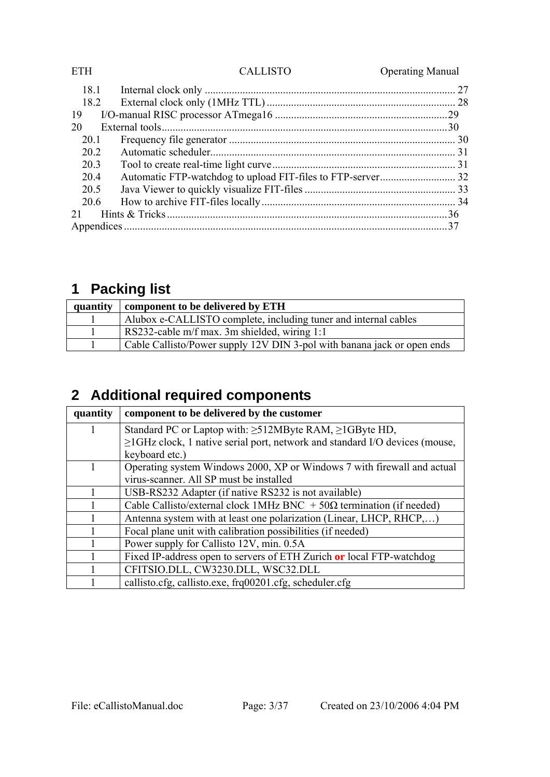| <b>ETH</b> | <b>CALLISTO</b> | <b>Operating Manual</b> |
|------------|-----------------|-------------------------|
| 18.1       |                 | 27                      |
| 18.2       |                 |                         |
| -19        |                 |                         |
| 20         |                 |                         |
| 20.1       |                 |                         |
| 20 2       |                 |                         |
| 20.3       |                 |                         |
| 204        |                 |                         |
| 20.5       |                 |                         |
| 20.6       |                 |                         |
| 21         |                 |                         |
|            |                 |                         |

## **1 Packing list**

| quantity | component to be delivered by ETH                                        |
|----------|-------------------------------------------------------------------------|
|          | Alubox e-CALLISTO complete, including tuner and internal cables         |
|          | RS232-cable m/f max. 3m shielded, wiring 1:1                            |
|          | Cable Callisto/Power supply 12V DIN 3-pol with banana jack or open ends |

## **2 Additional required components**

| quantity | component to be delivered by the customer                                         |
|----------|-----------------------------------------------------------------------------------|
|          | Standard PC or Laptop with: $\geq$ 512MByte RAM, $\geq$ 1GByte HD,                |
|          | $\geq$ 1GHz clock, 1 native serial port, network and standard I/O devices (mouse, |
|          | keyboard etc.)                                                                    |
|          | Operating system Windows 2000, XP or Windows 7 with firewall and actual           |
|          | virus-scanner. All SP must be installed                                           |
|          | USB-RS232 Adapter (if native RS232 is not available)                              |
|          | Cable Callisto/external clock 1MHz BNC $+ 50\Omega$ termination (if needed)       |
|          | Antenna system with at least one polarization (Linear, LHCP, RHCP,)               |
|          | Focal plane unit with calibration possibilities (if needed)                       |
|          | Power supply for Callisto 12V, min. 0.5A                                          |
|          | Fixed IP-address open to servers of ETH Zurich or local FTP-watchdog              |
|          | CFITSIO.DLL, CW3230.DLL, WSC32.DLL                                                |
|          | callisto.cfg, callisto.exe, frq00201.cfg, scheduler.cfg                           |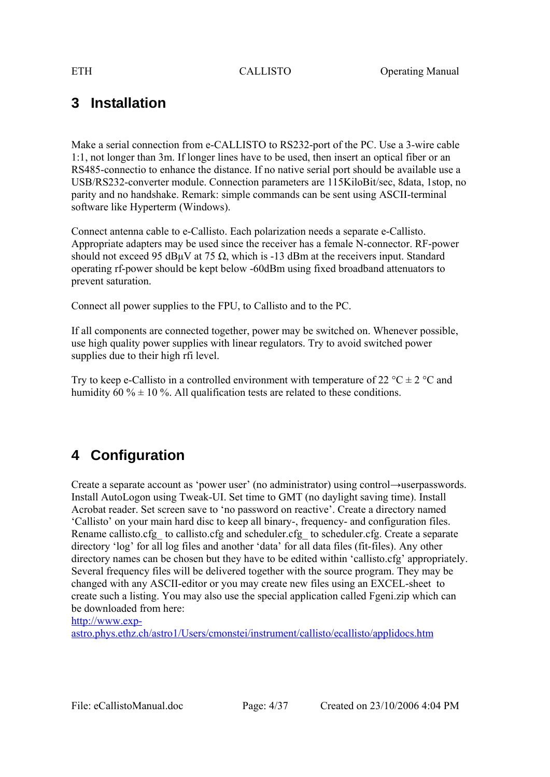## **3 Installation**

Make a serial connection from e-CALLISTO to RS232-port of the PC. Use a 3-wire cable 1:1, not longer than 3m. If longer lines have to be used, then insert an optical fiber or an RS485-connectio to enhance the distance. If no native serial port should be available use a USB/RS232-converter module. Connection parameters are 115KiloBit/sec, 8data, 1stop, no parity and no handshake. Remark: simple commands can be sent using ASCII-terminal software like Hyperterm (Windows).

Connect antenna cable to e-Callisto. Each polarization needs a separate e-Callisto. Appropriate adapters may be used since the receiver has a female N-connector. RF-power should not exceed 95 dB $\mu$ V at 75  $\Omega$ , which is -13 dBm at the receivers input. Standard operating rf-power should be kept below -60dBm using fixed broadband attenuators to prevent saturation.

Connect all power supplies to the FPU, to Callisto and to the PC.

If all components are connected together, power may be switched on. Whenever possible, use high quality power supplies with linear regulators. Try to avoid switched power supplies due to their high rfi level.

Try to keep e-Callisto in a controlled environment with temperature of 22 °C  $\pm$  2 °C and humidity 60  $\% \pm 10 \%$ . All qualification tests are related to these conditions.

## **4 Configuration**

Create a separate account as 'power user' (no administrator) using control→userpasswords. Install AutoLogon using Tweak-UI. Set time to GMT (no daylight saving time). Install Acrobat reader. Set screen save to 'no password on reactive'. Create a directory named 'Callisto' on your main hard disc to keep all binary-, frequency- and configuration files. Rename callisto.cfg to callisto.cfg and scheduler.cfg to scheduler.cfg. Create a separate directory 'log' for all log files and another 'data' for all data files (fit-files). Any other directory names can be chosen but they have to be edited within 'callisto.cfg' appropriately. Several frequency files will be delivered together with the source program. They may be changed with any ASCII-editor or you may create new files using an EXCEL-sheet to create such a listing. You may also use the special application called Fgeni.zip which can be downloaded from here:

http://www.exp-

astro.phys.ethz.ch/astro1/Users/cmonstei/instrument/callisto/ecallisto/applidocs.htm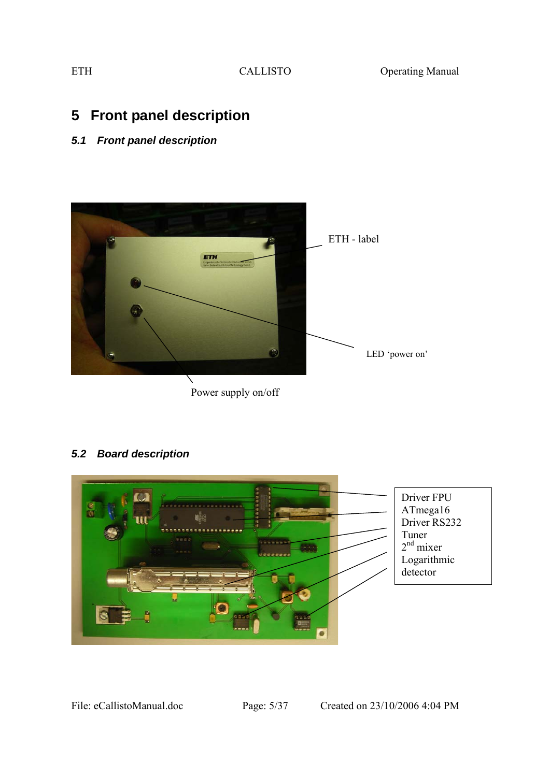## **5 Front panel description**

## *5.1 Front panel description*



Power supply on/off

## *5.2 Board description*

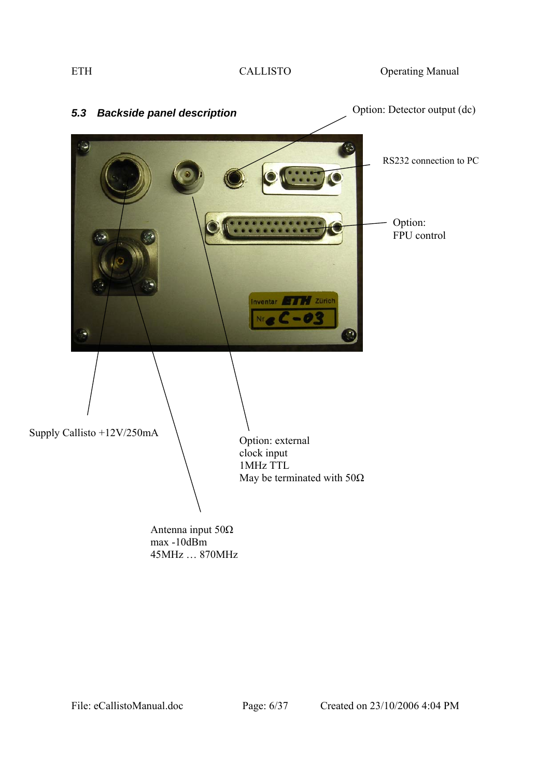ETH CALLISTO Operating Manual



45MHz … 870MHz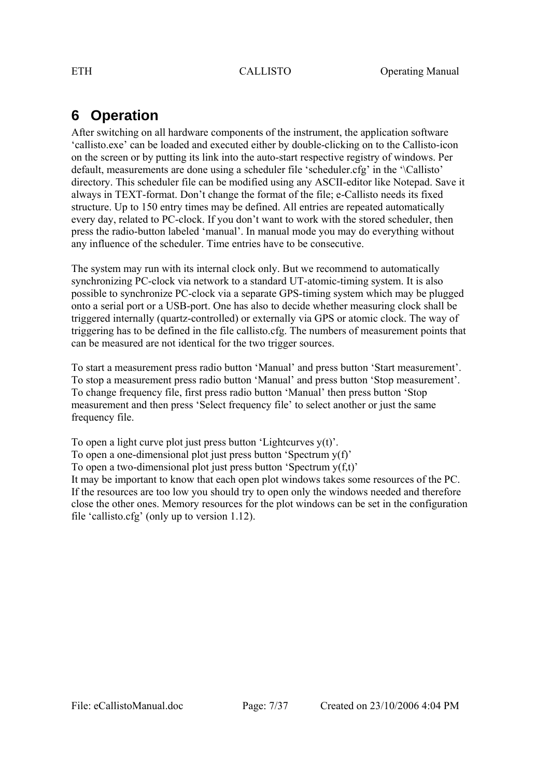## **6 Operation**

After switching on all hardware components of the instrument, the application software 'callisto.exe' can be loaded and executed either by double-clicking on to the Callisto-icon on the screen or by putting its link into the auto-start respective registry of windows. Per default, measurements are done using a scheduler file 'scheduler.cfg' in the '\Callisto' directory. This scheduler file can be modified using any ASCII-editor like Notepad. Save it always in TEXT-format. Don't change the format of the file; e-Callisto needs its fixed structure. Up to 150 entry times may be defined. All entries are repeated automatically every day, related to PC-clock. If you don't want to work with the stored scheduler, then press the radio-button labeled 'manual'. In manual mode you may do everything without any influence of the scheduler. Time entries have to be consecutive.

The system may run with its internal clock only. But we recommend to automatically synchronizing PC-clock via network to a standard UT-atomic-timing system. It is also possible to synchronize PC-clock via a separate GPS-timing system which may be plugged onto a serial port or a USB-port. One has also to decide whether measuring clock shall be triggered internally (quartz-controlled) or externally via GPS or atomic clock. The way of triggering has to be defined in the file callisto.cfg. The numbers of measurement points that can be measured are not identical for the two trigger sources.

To start a measurement press radio button 'Manual' and press button 'Start measurement'. To stop a measurement press radio button 'Manual' and press button 'Stop measurement'. To change frequency file, first press radio button 'Manual' then press button 'Stop measurement and then press 'Select frequency file' to select another or just the same frequency file.

To open a light curve plot just press button 'Lightcurves y(t)'. To open a one-dimensional plot just press button 'Spectrum y(f)' To open a two-dimensional plot just press button 'Spectrum  $y(f,t)$ ' It may be important to know that each open plot windows takes some resources of the PC. If the resources are too low you should try to open only the windows needed and therefore close the other ones. Memory resources for the plot windows can be set in the configuration file 'callisto.cfg' (only up to version 1.12).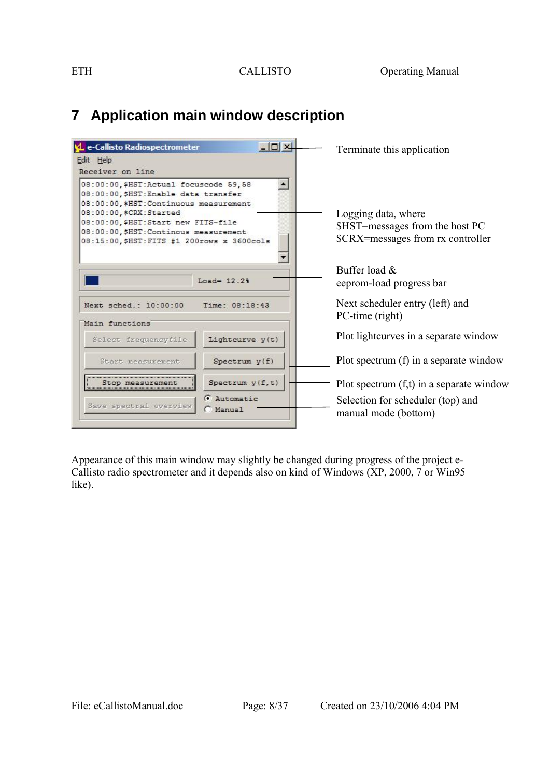#### L e-Callisto Radiospectrometer  $x$  $+$ Terminate this application Edit Help Receiver on line 08:00:00.\$HST:Actual focuscode 59.58  $\left| \bullet \right|$ 08:00:00, \$HST: Enable data transfer 08:00:00, \$HST: Continuous measurement 08:00:00, \$CRX: Started Logging data, where 08:00:00, \$HST: Start new FITS-file \$HST=messages from the host PC 08:00:00, \$HST: Continous measurement \$CRX=messages from rx controller 08:15:00.\$HST:FITS #1 200rows x 3600cols  $\overline{\phantom{a}}$ Buffer load & Load= $12.2%$ eeprom-load progress bar Next scheduler entry (left) and Next sched.: 10:00:00 Time: 08:18:43 PC-time (right) Main functions Plot lightcurves in a separate window Select frequencyfile Lightcurve  $y(t)$ Plot spectrum (f) in a separate window Start measurement Spectrum y(f) Stop measurement Spectrum y(f,t) Plot spectrum (f,t) in a separate window G Automatic Selection for scheduler (top) and Save spectral overview Manual manual mode (bottom)

## **7 Application main window description**

Appearance of this main window may slightly be changed during progress of the project e-Callisto radio spectrometer and it depends also on kind of Windows (XP, 2000, 7 or Win95 like).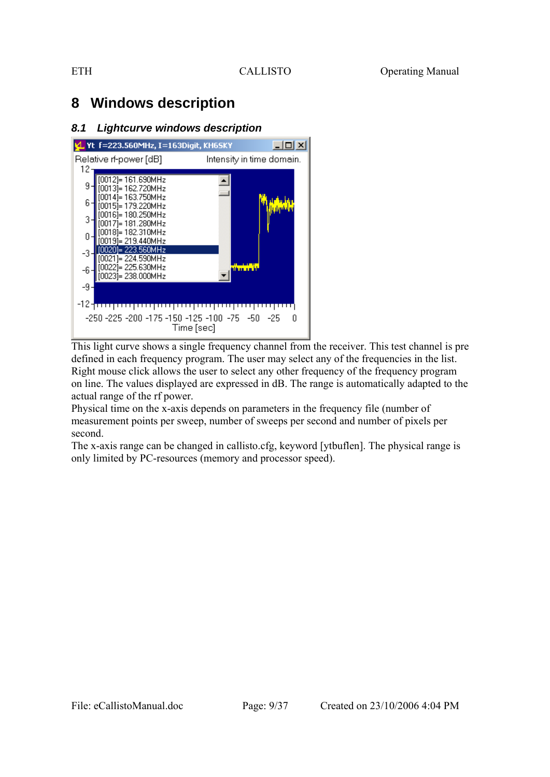## **8 Windows description**

### *8.1 Lightcurve windows description*



This light curve shows a single frequency channel from the receiver. This test channel is pre defined in each frequency program. The user may select any of the frequencies in the list. Right mouse click allows the user to select any other frequency of the frequency program on line. The values displayed are expressed in dB. The range is automatically adapted to the actual range of the rf power.

Physical time on the x-axis depends on parameters in the frequency file (number of measurement points per sweep, number of sweeps per second and number of pixels per second.

The x-axis range can be changed in callisto.cfg, keyword [ytbuflen]. The physical range is only limited by PC-resources (memory and processor speed).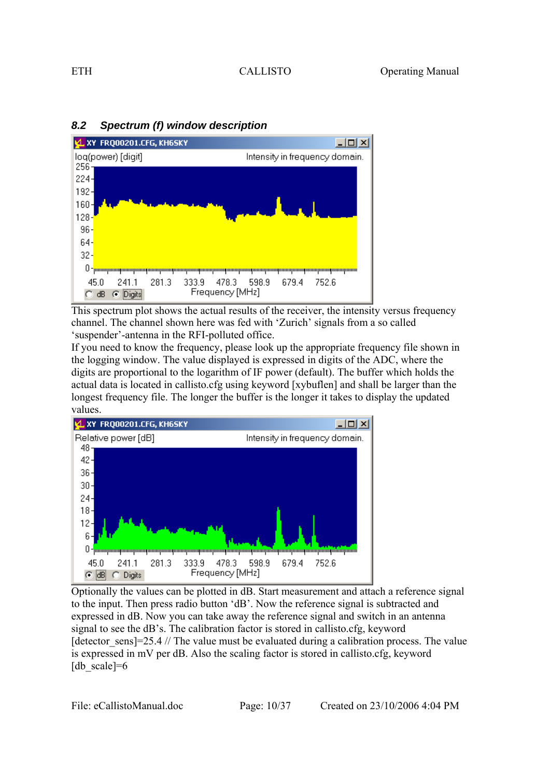

## *8.2 Spectrum (f) window description*

This spectrum plot shows the actual results of the receiver, the intensity versus frequency channel. The channel shown here was fed with 'Zurich' signals from a so called 'suspender'-antenna in the RFI-polluted office.

If you need to know the frequency, please look up the appropriate frequency file shown in the logging window. The value displayed is expressed in digits of the ADC, where the digits are proportional to the logarithm of IF power (default). The buffer which holds the actual data is located in callisto.cfg using keyword [xybuflen] and shall be larger than the longest frequency file. The longer the buffer is the longer it takes to display the updated values.



Optionally the values can be plotted in dB. Start measurement and attach a reference signal to the input. Then press radio button 'dB'. Now the reference signal is subtracted and expressed in dB. Now you can take away the reference signal and switch in an antenna signal to see the dB's. The calibration factor is stored in callisto.cfg, keyword [detector sens]=25.4 // The value must be evaluated during a calibration process. The value is expressed in mV per dB. Also the scaling factor is stored in callisto.cfg, keyword [db scale]=6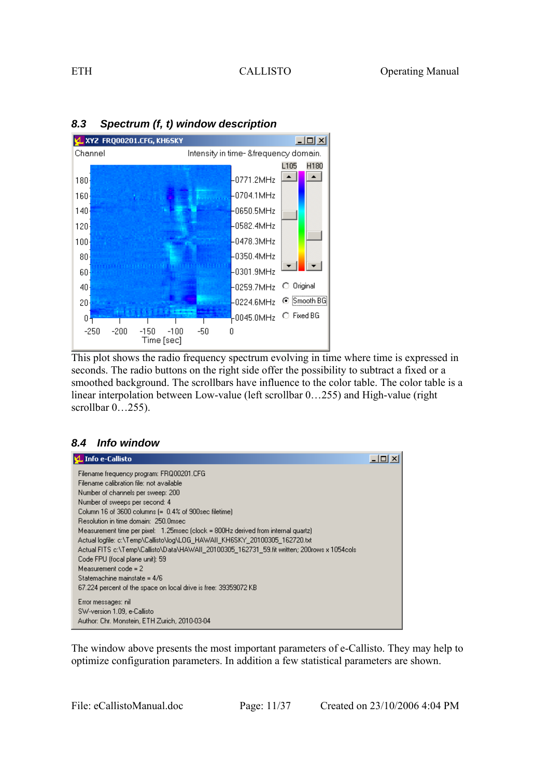

### *8.3 Spectrum (f, t) window description*

This plot shows the radio frequency spectrum evolving in time where time is expressed in seconds. The radio buttons on the right side offer the possibility to subtract a fixed or a smoothed background. The scrollbars have influence to the color table. The color table is a linear interpolation between Low-value (left scrollbar 0…255) and High-value (right scrollbar 0…255).

#### *8.4 Info window*



The window above presents the most important parameters of e-Callisto. They may help to optimize configuration parameters. In addition a few statistical parameters are shown.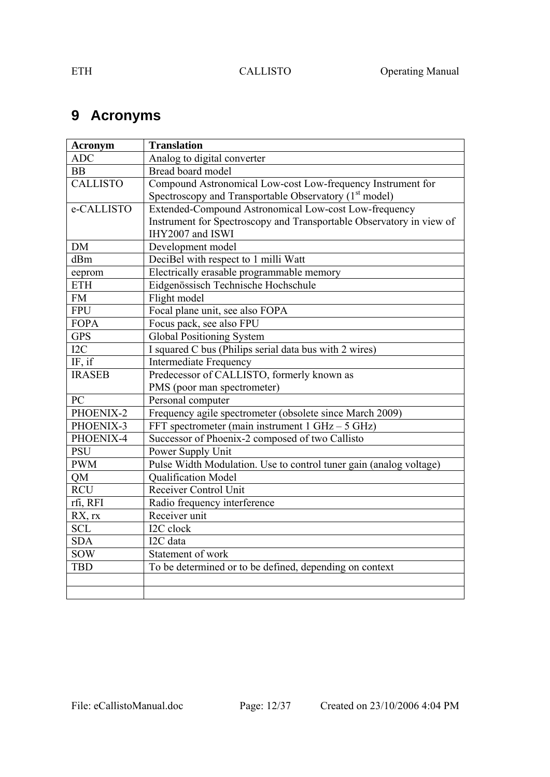## **9 Acronyms**

| <b>Acronym</b>  | <b>Translation</b>                                                   |
|-----------------|----------------------------------------------------------------------|
| <b>ADC</b>      | Analog to digital converter                                          |
| <b>BB</b>       | Bread board model                                                    |
| <b>CALLISTO</b> | Compound Astronomical Low-cost Low-frequency Instrument for          |
|                 | Spectroscopy and Transportable Observatory (1 <sup>st</sup> model)   |
| e-CALLISTO      | Extended-Compound Astronomical Low-cost Low-frequency                |
|                 | Instrument for Spectroscopy and Transportable Observatory in view of |
|                 | IHY2007 and ISWI                                                     |
| <b>DM</b>       | Development model                                                    |
| dBm             | DeciBel with respect to 1 milli Watt                                 |
| eeprom          | Electrically erasable programmable memory                            |
| <b>ETH</b>      | Eidgenössisch Technische Hochschule                                  |
| <b>FM</b>       | Flight model                                                         |
| <b>FPU</b>      | Focal plane unit, see also FOPA                                      |
| <b>FOPA</b>     | Focus pack, see also FPU                                             |
| <b>GPS</b>      | <b>Global Positioning System</b>                                     |
| I <sub>2C</sub> | I squared C bus (Philips serial data bus with 2 wires)               |
| IF, if          | <b>Intermediate Frequency</b>                                        |
| <b>IRASEB</b>   | Predecessor of CALLISTO, formerly known as                           |
|                 | PMS (poor man spectrometer)                                          |
| PC              | Personal computer                                                    |
| PHOENIX-2       | Frequency agile spectrometer (obsolete since March 2009)             |
| PHOENIX-3       | FFT spectrometer (main instrument $1 \text{ GHz} - 5 \text{ GHz}$ )  |
| PHOENIX-4       | Successor of Phoenix-2 composed of two Callisto                      |
| <b>PSU</b>      | Power Supply Unit                                                    |
| <b>PWM</b>      | Pulse Width Modulation. Use to control tuner gain (analog voltage)   |
| QM              | Qualification Model                                                  |
| <b>RCU</b>      | <b>Receiver Control Unit</b>                                         |
| rfi, RFI        | Radio frequency interference                                         |
| RX, rx          | Receiver unit                                                        |
| <b>SCL</b>      | I2C clock                                                            |
| <b>SDA</b>      | I2C data                                                             |
| <b>SOW</b>      | Statement of work                                                    |
| <b>TBD</b>      | To be determined or to be defined, depending on context              |
|                 |                                                                      |
|                 |                                                                      |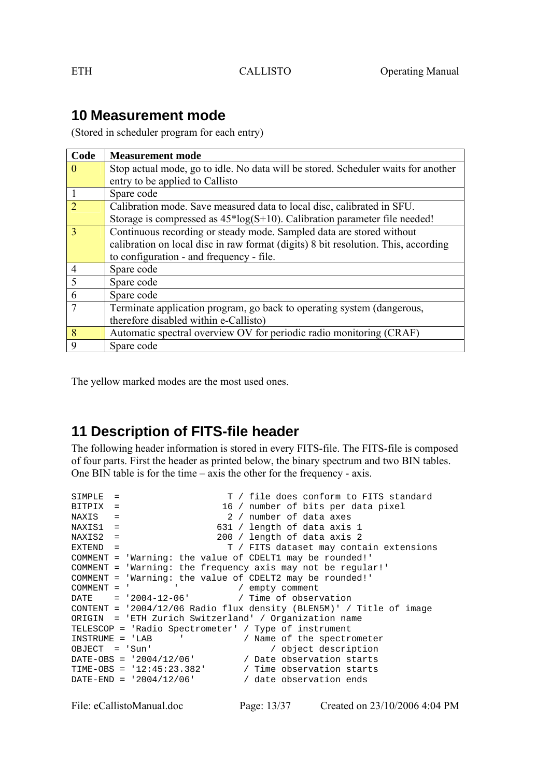## **10 Measurement mode**

(Stored in scheduler program for each entry)

| Code           | <b>Measurement mode</b>                                                            |
|----------------|------------------------------------------------------------------------------------|
| $\overline{0}$ | Stop actual mode, go to idle. No data will be stored. Scheduler waits for another  |
|                | entry to be applied to Callisto                                                    |
| $\vert$ 1      | Spare code                                                                         |
| $\overline{2}$ | Calibration mode. Save measured data to local disc, calibrated in SFU.             |
|                | Storage is compressed as $45*log(S+10)$ . Calibration parameter file needed!       |
| $\overline{3}$ | Continuous recording or steady mode. Sampled data are stored without               |
|                | calibration on local disc in raw format (digits) 8 bit resolution. This, according |
|                | to configuration - and frequency - file.                                           |
| $\overline{4}$ | Spare code                                                                         |
| 5              | Spare code                                                                         |
| 6              | Spare code                                                                         |
|                | Terminate application program, go back to operating system (dangerous,             |
|                | therefore disabled within e-Callisto)                                              |
| 8              | Automatic spectral overview OV for periodic radio monitoring (CRAF)                |
| 9              | Spare code                                                                         |

The yellow marked modes are the most used ones.

## **11 Description of FITS-file header**

The following header information is stored in every FITS-file. The FITS-file is composed of four parts. First the header as printed below, the binary spectrum and two BIN tables. One BIN table is for the time – axis the other for the frequency - axis.

```
SIMPLE = T / file does conform to FITS standard
BITPIX = 16 / number of bits per data pixel 
NAXIS = 2 / number of data axes<br>NAXIS1 = 631 / length of data axis
                            631 / length of data axis 1
\begin{array}{ccc}\n\text{MAXIS2} & = & 200 / \text{length of data axis 2} \\
\text{EXTRND} & = & \text{T / FITS dataset max cont.}\n\end{array}T / FITS dataset may contain extensions
COMMENT = 'Warning: the value of CDELT1 may be rounded!' 
COMMENT = 'Warning: the frequency axis may not be regular!' 
COMMENT = 'Warning: the value of CDELT2 may be rounded!' 
COMMENT = ' ' / empty comment 
\text{DATE} = '2004-12-06' / Time of observation
CONTENT = '2004/12/06 Radio flux density (BLEN5M)' / Title of image 
ORIGIN = 'ETH Zurich Switzerland' / Organization name 
TELESCOP = 'Radio Spectrometer' / Type of instrument 
INSTRUME = 'LAB \overline{)} / Name of the spectrometer<br>OBJECT = 'Sun' / object description
OBJECT = 'Sun' / object description 
DATE-OBS = '2004/12/06' / Date observation starts 
TIME-OBS = '12:45:23.382' / Time observation starts 
DATE-END = '2004/12/06' / date observation ends
```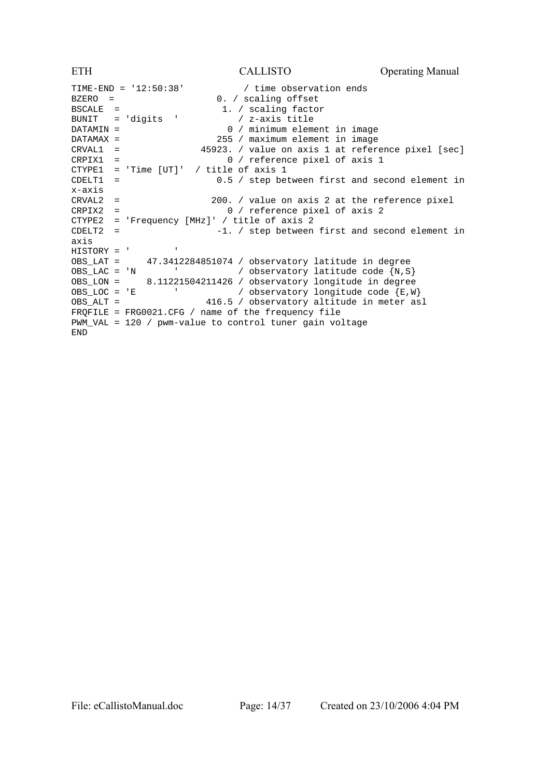|             | $TIME-END = '12:50:38'$<br>/ time observation ends           |
|-------------|--------------------------------------------------------------|
| $BZERO =$   | 0. / scaling offset                                          |
| $BSCALE =$  | 1. / scaling factor                                          |
|             | BUNIT = 'digits ' $\sqrt{z}$ -axis title                     |
| DATAMIN =   | $\overline{a}$<br>0 / minimum element in image               |
| $DATAMAX =$ | 255 / maximum element in image                               |
| $CRVAL1 =$  | 45923. / value on axis 1 at reference pixel [sec]            |
| $CRPIX1 =$  | 0 / reference pixel of axis 1                                |
|             | $CTYPE1 = 'Time [UT]' / title of axis 1$                     |
| $CDELT1 =$  | 0.5 / step between first and second element in               |
| x-axis      |                                                              |
| $CRVAL2 =$  | 200. / value on axis 2 at the reference pixel                |
| $CRPIX2 =$  | 0 / reference pixel of axis 2                                |
|             | $CTYPE2 = 'Frequency [MHz]' / title of axis 2$               |
| $CDELT2 =$  | $-1.$ / step between first and second element in             |
| axis        |                                                              |
|             | $HISTORY = '$                                                |
|             | OBS_LAT = 47.3412284851074 / observatory latitude in degree  |
|             | $OBS\_LAC = 'N$ / observatory latitude code $\{N, S\}$       |
|             | OBS_LON = 8.11221504211426 / observatory longitude in degree |
|             | $OBS\_LOC = 'E$ / observatory longitude code $\{E, W\}$      |
|             | OBS ALT = 416.5 / observatory altitude in meter asl          |
|             | $FROFILE = FRG0021.CFG / name of the frequency file$         |
|             | PWM VAL = $120$ / pwm-value to control tuner gain voltage    |
| <b>END</b>  |                                                              |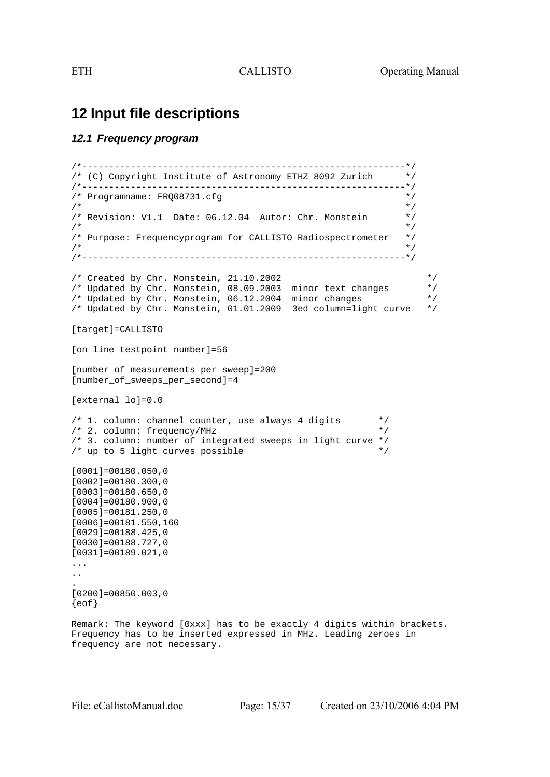## **12 Input file descriptions**

#### *12.1 Frequency program*

```
/*------------------------------------------------------------*/ 
/* (C) Copyright Institute of Astronomy ETHZ 8092 Zurich */ 
/*------------------------------------------------------------*/ 
\frac{*}{*} Programname: FRQ08731.cfg \frac{*}{*}\frac{1}{\sqrt{2}} , the set of the set of the set of the set of the set of the set of the set of the set of the set of the set of the set of the set of the set of the set of the set of the set of the set of the set of the set 
/* Revision: V1.1 Date: 06.12.04 Autor: Chr. Monstein */ 
\frac{1}{\sqrt{2}} /*
/* Purpose: Frequencyprogram for CALLISTO Radiospectrometer */ 
\frac{1}{\sqrt{2}} /*
/*------------------------------------------------------------*/ 
/* Created by Chr. Monstein, 21.10.2002 */ 
/* Updated by Chr. Monstein, 08.09.2003 minor text changes */ 
/* Updated by Chr. Monstein, 06.12.2004 minor changes */ 
/* Updated by Chr. Monstein, 01.01.2009 3ed column=light curve */ 
[target]=CALLISTO 
[on line testpoint number]=56
[number_of_measurements_per_sweep]=200
[number_of_sweeps_per_second]=4 
[external_lo]=0.0 
\frac{1}{4} 1. column: channel counter, use always 4 digits \frac{1}{4} /* 2 column: frequency/MHz \frac{1}{4}/* 2. column: frequency/MHz
/* 3. column: number of integrated sweeps in light curve */ 
/* up to 5 light curves possible
[0001]=00180.050,0 
[0002]=00180.300,0 
[0003]=00180.650,0 
[0004]=00180.900,0 
[0005]=00181.250,0 
[0006]=00181.550,160 
[0029]=00188.425,0 
[0030]=00188.727,0 
[0031]=00189.021,0 
... 
.. 
. 
[0200]=00850.003,0 
{eof} 
Remark: The keyword [0xxx] has to be exactly 4 digits within brackets. 
Frequency has to be inserted expressed in MHz. Leading zeroes in 
frequency are not necessary.
```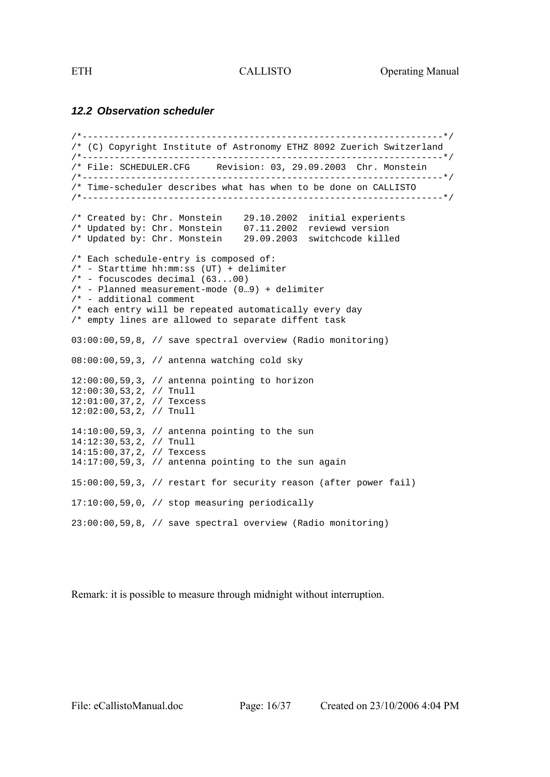#### *12.2 Observation scheduler*

/\*-------------------------------------------------------------------\*/ /\* (C) Copyright Institute of Astronomy ETHZ 8092 Zuerich Switzerland /\*-------------------------------------------------------------------\*/ /\* File: SCHEDULER.CFG Revision: 03, 29.09.2003 Chr. Monstein /\*-------------------------------------------------------------------\*/ /\* Time-scheduler describes what has when to be done on CALLISTO /\*-------------------------------------------------------------------\*/ /\* Created by: Chr. Monstein 29.10.2002 initial experients /\* Updated by: Chr. Monstein 07.11.2002 reviewd version /\* Updated by: Chr. Monstein 29.09.2003 switchcode killed /\* Each schedule-entry is composed of: /\* - Starttime hh:mm:ss (UT) + delimiter /\* - focuscodes decimal (63...00) /\* - Planned measurement-mode (0…9) + delimiter /\* - additional comment /\* each entry will be repeated automatically every day /\* empty lines are allowed to separate diffent task 03:00:00,59,8, // save spectral overview (Radio monitoring) 08:00:00,59,3, // antenna watching cold sky 12:00:00,59,3, // antenna pointing to horizon 12:00:30,53,2, // Tnull 12:01:00,37,2, // Texcess 12:02:00,53,2, // Tnull 14:10:00,59,3, // antenna pointing to the sun 14:12:30,53,2, // Tnull 14:15:00,37,2, // Texcess 14:17:00,59,3, // antenna pointing to the sun again 15:00:00,59,3, // restart for security reason (after power fail) 17:10:00,59,0, // stop measuring periodically 23:00:00,59,8, // save spectral overview (Radio monitoring)

Remark: it is possible to measure through midnight without interruption.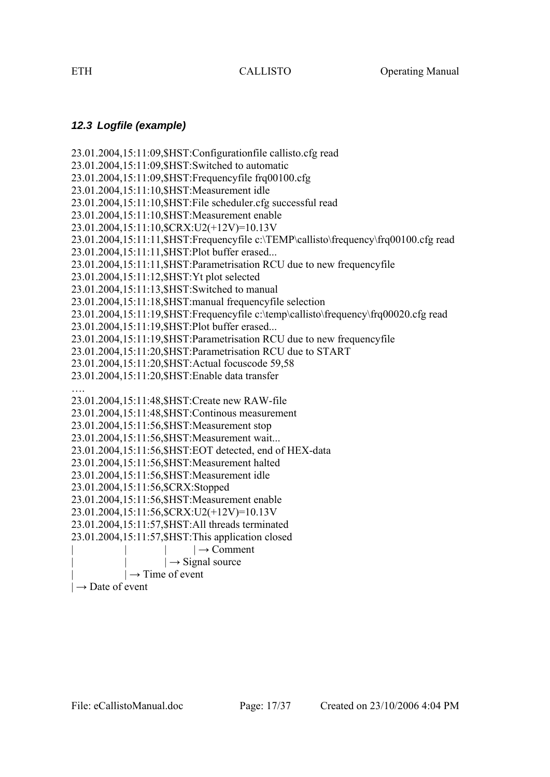## *12.3 Logfile (example)*

23.01.2004,15:11:09,\$HST:Configurationfile callisto.cfg read 23.01.2004,15:11:09,\$HST:Switched to automatic 23.01.2004,15:11:09,\$HST:Frequencyfile frq00100.cfg 23.01.2004,15:11:10,\$HST:Measurement idle 23.01.2004,15:11:10,\$HST:File scheduler.cfg successful read 23.01.2004,15:11:10,\$HST:Measurement enable 23.01.2004,15:11:10,\$CRX:U2(+12V)=10.13V 23.01.2004,15:11:11,\$HST:Frequencyfile c:\TEMP\callisto\frequency\frq00100.cfg read 23.01.2004,15:11:11,\$HST:Plot buffer erased... 23.01.2004,15:11:11,\$HST:Parametrisation RCU due to new frequencyfile 23.01.2004,15:11:12,\$HST:Yt plot selected 23.01.2004,15:11:13,\$HST:Switched to manual 23.01.2004,15:11:18,\$HST:manual frequencyfile selection 23.01.2004,15:11:19,\$HST:Frequencyfile c:\temp\callisto\frequency\frq00020.cfg read 23.01.2004,15:11:19,\$HST:Plot buffer erased... 23.01.2004,15:11:19,\$HST:Parametrisation RCU due to new frequencyfile 23.01.2004,15:11:20,\$HST:Parametrisation RCU due to START 23.01.2004,15:11:20,\$HST:Actual focuscode 59,58 23.01.2004,15:11:20,\$HST:Enable data transfer …. 23.01.2004,15:11:48,\$HST:Create new RAW-file 23.01.2004,15:11:48,\$HST:Continous measurement 23.01.2004,15:11:56,\$HST:Measurement stop 23.01.2004,15:11:56,\$HST:Measurement wait... 23.01.2004,15:11:56,\$HST:EOT detected, end of HEX-data 23.01.2004,15:11:56,\$HST:Measurement halted 23.01.2004,15:11:56,\$HST:Measurement idle 23.01.2004,15:11:56,\$CRX:Stopped 23.01.2004,15:11:56,\$HST:Measurement enable 23.01.2004,15:11:56,\$CRX:U2(+12V)=10.13V 23.01.2004,15:11:57,\$HST:All threads terminated 23.01.2004,15:11:57,\$HST:This application closed  $| \rightarrow$  Comment  $| \rightarrow$  Signal source  $| \rightarrow$  Time of event  $| \rightarrow$  Date of event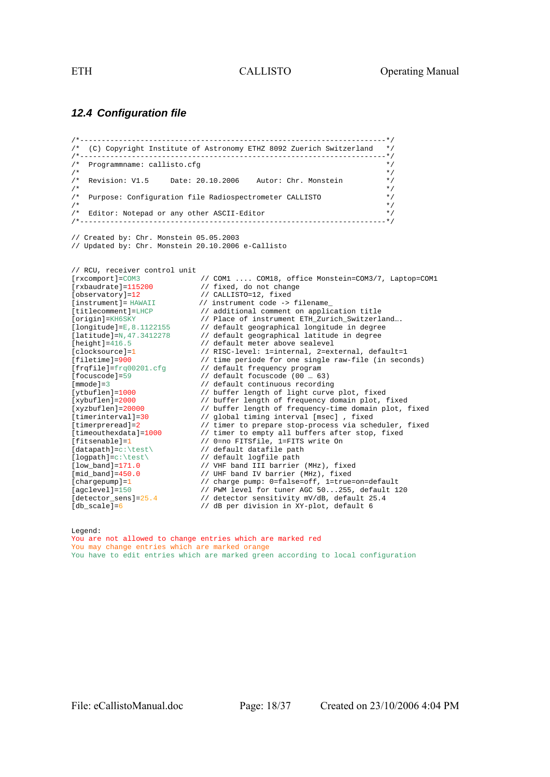#### *12.4 Configuration file*

/\*-----------------------------------------------------------------------\*/ /\* (C) Copyright Institute of Astronomy ETHZ 8092 Zuerich Switzerland \*/ /\*-----------------------------------------------------------------------\*/ /\* Programmname: callisto.cfg  $\begin{array}{ccc} \star \end{array}$  \*/  $\frac{1}{\sqrt{2}}$  , the set of the set of the set of the set of the set of the set of the set of the set of the set of the set of the set of the set of the set of the set of the set of the set of the set of the set of the set /\* Revision: V1.5 Date: 20.10.2006 Autor: Chr. Monstein \*/  $\frac{1}{\sqrt{2}}$  \* /\* Purpose: Configuration file Radiospectrometer CALLISTO \*/  $\frac{1}{\sqrt{2}}$  \* /\* Editor: Notepad or any other ASCII-Editor \*/ /\*-----------------------------------------------------------------------\*/ // Created by: Chr. Monstein 05.05.2003 // Updated by: Chr. Monstein 20.10.2006 e-Callisto // RCU, receiver control unit [rxcomport]=COM3 // COM1 .... COM18, office Monstein=COM3/7, Laptop=COM1 [rxbaudrate]=115200 // fixed, do not change [observatory]=12 // CALLISTO=12, fixed [instrument]= HAWAII // instrument code -> filename\_ [titlecomment]=LHCP // additional comment on application title [origin]=KH6SKY // Place of instrument ETH\_Zurich\_Switzerland…. [longitude]=E,8.1122155 // default geographical longitude in degree [latitude]=N,47.3412278 // default geographical latitude in degree [height]=416.5 // default meter above sealevel [clocksource]=1 // RISC-level: 1=internal, 2=external, default=1 [filetime]=900 // time periode for one single raw-file (in seconds) [frqfile]=frq00201.cfg // default frequency program [focuscode]=59 // default focuscode (00 … 63) [mmode]=3 // default continuous recording [ytbuflen]=1000 // buffer length of light curve plot, fixed [xybuflen]=2000 // buffer length of frequency domain plot, fixed [xyzbuflen]=20000 // buffer length of frequency-time domain plot, fixed [timerinterval]=30 // global timing interval [msec] , fixed [timerpreread]=2 // timer to prepare stop-process via scheduler, fixed [timeouthexdata]=1000 // timer to empty all buffers after stop, fixed [fitsenable]=1 // 0=no FITSfile, 1=FITS write On [datapath]=c:\test\ // default datafile path [logpath]=c:\test\ // default logfile path [low\_band]=171.0 // VHF band III barrier (MHz), fixed [mid\_band]=450.0 // UHF band IV barrier (MHz), fixed [chargepump]=1 // charge pump: 0=false=off, 1=true=on=default [agclevel]=150 // PWM level for tuner AGC 50...255, default 120 [detector\_sens]=25.4 // detector sensitivity mV/dB, default 25.4 [db\_scale]=6 // dB per division in XY-plot, default 6

Legend:

You are not allowed to change entries which are marked red You may change entries which are marked orange You have to edit entries which are marked green according to local configuration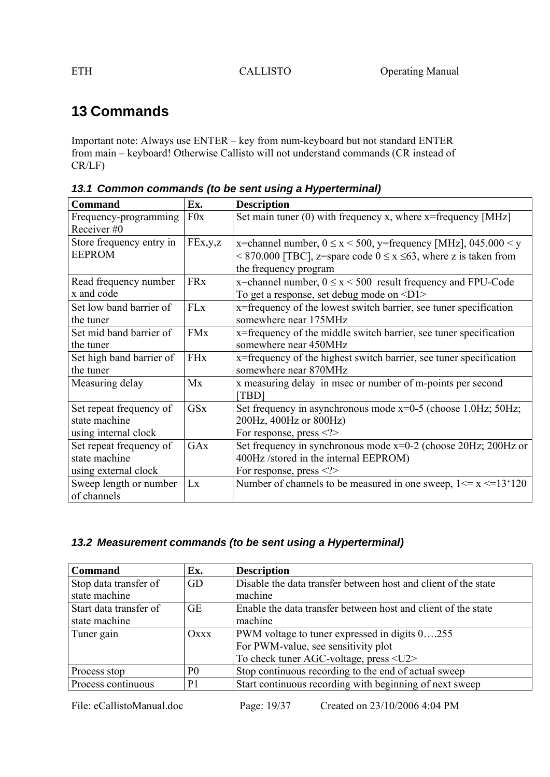## **13 Commands**

Important note: Always use ENTER – key from num-keyboard but not standard ENTER from main – keyboard! Otherwise Callisto will not understand commands (CR instead of CR/LF)

| <b>Command</b>           | Ex.                   | <b>Description</b>                                                             |  |
|--------------------------|-----------------------|--------------------------------------------------------------------------------|--|
| Frequency-programming    | F0x                   | Set main tuner $(0)$ with frequency x, where $x$ =frequency [MHz]              |  |
| Receiver#0               |                       |                                                                                |  |
| Store frequency entry in | FEx,y,z               | x=channel number, $0 \le x \le 500$ , y=frequency [MHz], 045.000 < y           |  |
| <b>EEPROM</b>            |                       | $\leq$ 870.000 [TBC], z=spare code 0 $\leq$ x $\leq$ 63, where z is taken from |  |
|                          |                       | the frequency program                                                          |  |
| Read frequency number    | <b>FRx</b>            | x=channel number, $0 \le x \le 500$ result frequency and FPU-Code              |  |
| x and code               |                       | To get a response, set debug mode on <d1></d1>                                 |  |
| Set low band barrier of  | <b>FL<sub>x</sub></b> | x=frequency of the lowest switch barrier, see tuner specification              |  |
| the tuner                |                       | somewhere near 175MHz                                                          |  |
| Set mid band barrier of  | <b>FMx</b>            | x=frequency of the middle switch barrier, see tuner specification              |  |
| the tuner                |                       | somewhere near 450MHz                                                          |  |
| Set high band barrier of | <b>FH<sub>x</sub></b> | x=frequency of the highest switch barrier, see tuner specification             |  |
| the tuner                |                       | somewhere near 870MHz                                                          |  |
| Measuring delay          | Mx                    | x measuring delay in msec or number of m-points per second                     |  |
|                          |                       | [TBD]                                                                          |  |
| Set repeat frequency of  | <b>GSx</b>            | Set frequency in asynchronous mode $x=0-5$ (choose 1.0Hz; 50Hz;                |  |
| state machine            |                       | 200Hz, 400Hz or 800Hz)                                                         |  |
| using internal clock     |                       | For response, press $\langle ? \rangle$                                        |  |
| Set repeat frequency of  | GA <sub>x</sub>       | Set frequency in synchronous mode $x=0-2$ (choose 20Hz; 200Hz or               |  |
| state machine            |                       | 400Hz /stored in the internal EEPROM)                                          |  |
| using external clock     |                       | For response, press $\langle ? \rangle$                                        |  |
| Sweep length or number   | Lx                    | Number of channels to be measured in one sweep, $1 \le x \le 13'120$           |  |
| of channels              |                       |                                                                                |  |

*13.1 Common commands (to be sent using a Hyperterminal)* 

## *13.2 Measurement commands (to be sent using a Hyperterminal)*

| <b>Command</b>         | Ex.            | <b>Description</b>                                             |  |
|------------------------|----------------|----------------------------------------------------------------|--|
| Stop data transfer of  | GD             | Disable the data transfer between host and client of the state |  |
| state machine          |                | machine                                                        |  |
| Start data transfer of | GE             | Enable the data transfer between host and client of the state  |  |
| state machine          |                | machine                                                        |  |
| Tuner gain             | Oxxx           | PWM voltage to tuner expressed in digits 0255                  |  |
|                        |                | For PWM-value, see sensitivity plot                            |  |
|                        |                | To check tuner AGC-voltage, press <u2></u2>                    |  |
| Process stop           | P <sub>0</sub> | Stop continuous recording to the end of actual sweep           |  |
| Process continuous     | P <sub>1</sub> | Start continuous recording with beginning of next sweep        |  |

File: eCallistoManual.doc Page: 19/37 Created on 23/10/2006 4:04 PM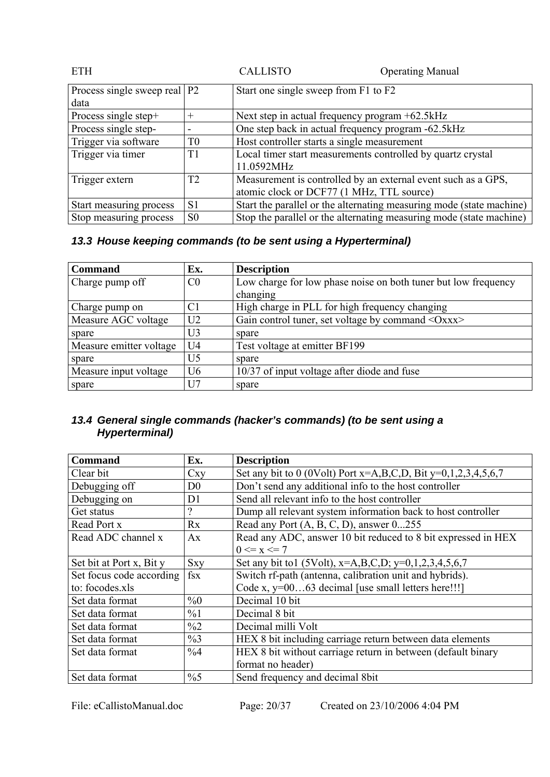| <b>ETH</b>                     |                 | <b>CALLISTO</b>                                               | <b>Operating Manual</b>                                              |
|--------------------------------|-----------------|---------------------------------------------------------------|----------------------------------------------------------------------|
| Process single sweep real   P2 |                 | Start one single sweep from F1 to F2                          |                                                                      |
| data                           |                 |                                                               |                                                                      |
| Process single step+           | $^{+}$          | Next step in actual frequency program +62.5kHz                |                                                                      |
| Process single step-           | $\qquad \qquad$ | One step back in actual frequency program -62.5kHz            |                                                                      |
| Trigger via software           | T <sub>0</sub>  | Host controller starts a single measurement                   |                                                                      |
| Trigger via timer              | T1              | Local timer start measurements controlled by quartz crystal   |                                                                      |
|                                |                 | 11.0592MHz                                                    |                                                                      |
| Trigger extern                 | T <sub>2</sub>  | Measurement is controlled by an external event such as a GPS, |                                                                      |
|                                |                 | atomic clock or DCF77 (1 MHz, TTL source)                     |                                                                      |
| Start measuring process        | S <sub>1</sub>  |                                                               | Start the parallel or the alternating measuring mode (state machine) |
| Stop measuring process         | S <sub>0</sub>  |                                                               | Stop the parallel or the alternating measuring mode (state machine)  |

## *13.3 House keeping commands (to be sent using a Hyperterminal)*

| <b>Command</b>          | Ex.            | <b>Description</b>                                             |  |  |
|-------------------------|----------------|----------------------------------------------------------------|--|--|
| Charge pump off         | CO             | Low charge for low phase noise on both tuner but low frequency |  |  |
|                         |                | changing                                                       |  |  |
| Charge pump on          | C <sub>1</sub> | High charge in PLL for high frequency changing                 |  |  |
| Measure AGC voltage     | U <sub>2</sub> | Gain control tuner, set voltage by command $<$ Oxxx $>$        |  |  |
| spare                   | U3             | spare                                                          |  |  |
| Measure emitter voltage | U <sub>4</sub> | Test voltage at emitter BF199                                  |  |  |
| spare                   | U5             | spare                                                          |  |  |
| Measure input voltage   | U <sub>6</sub> | 10/37 of input voltage after diode and fuse                    |  |  |
| spare                   | U7             | spare                                                          |  |  |

## *13.4 General single commands (hacker's commands) (to be sent using a Hyperterminal)*

| <b>Command</b>           | Ex.           | <b>Description</b>                                                  |  |
|--------------------------|---------------|---------------------------------------------------------------------|--|
| Clear bit                | Cxy           | Set any bit to 0 (0Volt) Port $x=A,B,C,D$ , Bit $y=0,1,2,3,4,5,6,7$ |  |
| Debugging off            | D0            | Don't send any additional info to the host controller               |  |
| Debugging on             | D1            | Send all relevant info to the host controller                       |  |
| Get status               | ?             | Dump all relevant system information back to host controller        |  |
| Read Port x              | Rx            | Read any Port $(A, B, C, D)$ , answer $0255$                        |  |
| Read ADC channel x       | Ax            | Read any ADC, answer 10 bit reduced to 8 bit expressed in HEX       |  |
|                          |               | $0 \le x \le 7$                                                     |  |
| Set bit at Port x, Bit y | <b>Sxy</b>    | Set any bit to1 (5Volt), x=A,B,C,D; y=0,1,2,3,4,5,6,7               |  |
| Set focus code according | $f_{SX}$      | Switch rf-path (antenna, calibration unit and hybrids).             |  |
| to: focodes.xls          |               | Code x, y=0063 decimal [use small letters here!!!]                  |  |
| Set data format          | $\%0$         | Decimal 10 bit                                                      |  |
| Set data format          | $\%1$         | Decimal 8 bit                                                       |  |
| Set data format          | $\frac{0}{2}$ | Decimal milli Volt                                                  |  |
| Set data format          | $\%3$         | HEX 8 bit including carriage return between data elements           |  |
| Set data format          | $\%4$         | HEX 8 bit without carriage return in between (default binary        |  |
|                          |               | format no header)                                                   |  |
| Set data format          | $\frac{0}{6}$ | Send frequency and decimal 8 bit                                    |  |

File: eCallistoManual.doc Page: 20/37 Created on 23/10/2006 4:04 PM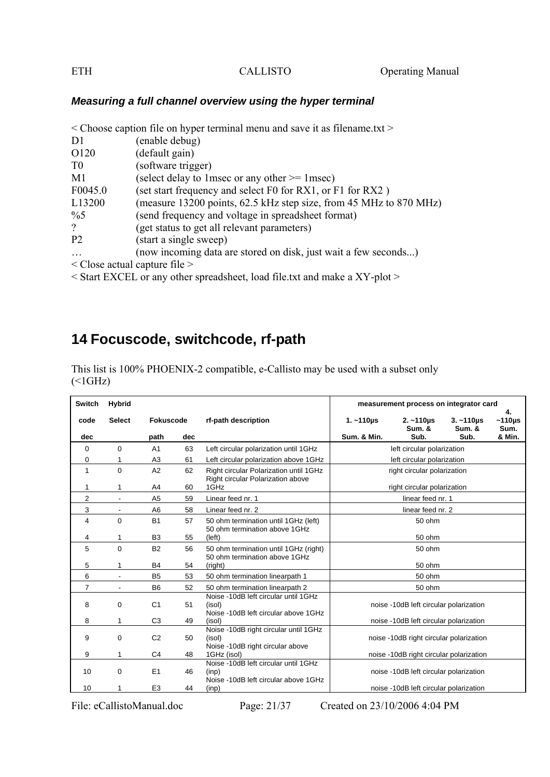### *Measuring a full channel overview using the hyper terminal*

|                | $\leq$ Choose caption file on hyper terminal menu and save it as filename.txt $\geq$ |
|----------------|--------------------------------------------------------------------------------------|
| D <sub>1</sub> | (enable debug)                                                                       |
| O120           | (default gain)                                                                       |
| T <sub>0</sub> | (software trigger)                                                                   |
| M1             | (select delay to 1 msec or any other $\ge$ 1 msec)                                   |
| F0045.0        | (set start frequency and select F0 for RX1, or F1 for RX2)                           |
| L13200         | (measure 13200 points, 62.5 kHz step size, from 45 MHz to 870 MHz)                   |
| $\%5$          | (send frequency and voltage in spreadsheet format)                                   |
| $\mathcal{P}$  | (get status to get all relevant parameters)                                          |
| P <sub>2</sub> | (start a single sweep)                                                               |
|                | (now incoming data are stored on disk, just wait a few seconds)                      |
|                |                                                                                      |

< Close actual capture file >

< Start EXCEL or any other spreadsheet, load file.txt and make a XY-plot >

## **14 Focuscode, switchcode, rf-path**

| Switch         | <b>Hybrid</b> |                |     |                                                                                        |                 | measurement process on integrator card  |                           |                           |
|----------------|---------------|----------------|-----|----------------------------------------------------------------------------------------|-----------------|-----------------------------------------|---------------------------|---------------------------|
| code           | <b>Select</b> | Fokuscode      |     | rf-path description                                                                    | 1. $~110 \mu s$ | $2. -110 \mu s$<br>Sum. &               | $3. -110 \mu s$<br>Sum. & | 4.<br>$~110\mu s$<br>Sum. |
| dec            |               | path           | dec |                                                                                        | Sum. & Min.     | Sub.                                    | Sub.                      | & Min.                    |
| $\mathbf 0$    | $\Omega$      | A <sub>1</sub> | 63  | Left circular polarization until 1GHz                                                  |                 | left circular polarization              |                           |                           |
| 0              | 1             | A <sub>3</sub> | 61  | Left circular polarization above 1GHz                                                  |                 | left circular polarization              |                           |                           |
| 1              | $\Omega$      | A2             | 62  | Right circular Polarization until 1GHz<br>Right circular Polarization above            |                 | right circular polarization             |                           |                           |
| 1              | 1             | A4             | 60  | 1GHz                                                                                   |                 | right circular polarization             |                           |                           |
| $\overline{2}$ |               | A <sub>5</sub> | 59  | Linear feed nr. 1                                                                      |                 | linear feed nr. 1                       |                           |                           |
| 3              |               | A <sub>6</sub> | 58  | Linear feed nr. 2                                                                      |                 | linear feed nr. 2                       |                           |                           |
| 4              | $\mathbf 0$   | <b>B1</b>      | 57  | 50 ohm termination until 1GHz (left)<br>50 ohm termination above 1GHz                  |                 | 50 ohm                                  |                           |                           |
| 4              | 1             | B <sub>3</sub> | 55  | (left)                                                                                 | 50 ohm          |                                         |                           |                           |
| 5              | $\Omega$      | <b>B2</b>      | 56  | 50 ohm termination until 1GHz (right)<br>50 ohm termination above 1GHz                 |                 | 50 ohm                                  |                           |                           |
| 5              | 1             | <b>B4</b>      | 54  | (right)                                                                                |                 | 50 ohm                                  |                           |                           |
| 6              |               | B <sub>5</sub> | 53  | 50 ohm termination linearpath 1                                                        |                 | 50 ohm                                  |                           |                           |
| $\overline{7}$ | ٠             | B <sub>6</sub> | 52  | 50 ohm termination linearpath 2                                                        |                 | 50 ohm                                  |                           |                           |
| 8              | $\Omega$      | C <sub>1</sub> | 51  | Noise -10dB left circular until 1GHz<br>(isol)<br>Noise -10dB left circular above 1GHz |                 | noise -10dB left circular polarization  |                           |                           |
| 8              | 1             | C <sub>3</sub> | 49  | (isol)                                                                                 |                 | noise -10dB left circular polarization  |                           |                           |
| 9              | $\Omega$      | C <sub>2</sub> | 50  | Noise -10dB right circular until 1GHz<br>(isol)<br>Noise -10dB right circular above    |                 | noise -10dB right circular polarization |                           |                           |
| 9              | 1             | C <sub>4</sub> | 48  | 1GHz (isol)                                                                            |                 | noise -10dB right circular polarization |                           |                           |
| 10             | $\Omega$      | E <sub>1</sub> | 46  | Noise -10dB left circular until 1GHz<br>(inp)<br>Noise -10dB left circular above 1GHz  |                 | noise -10dB left circular polarization  |                           |                           |
| 10             | 1             | E <sub>3</sub> | 44  | (inp)                                                                                  |                 | noise -10dB left circular polarization  |                           |                           |

This list is 100% PHOENIX-2 compatible, e-Callisto may be used with a subset only  $(\leq 1$ GHz)

File: eCallistoManual.doc Page: 21/37 Created on 23/10/2006 4:04 PM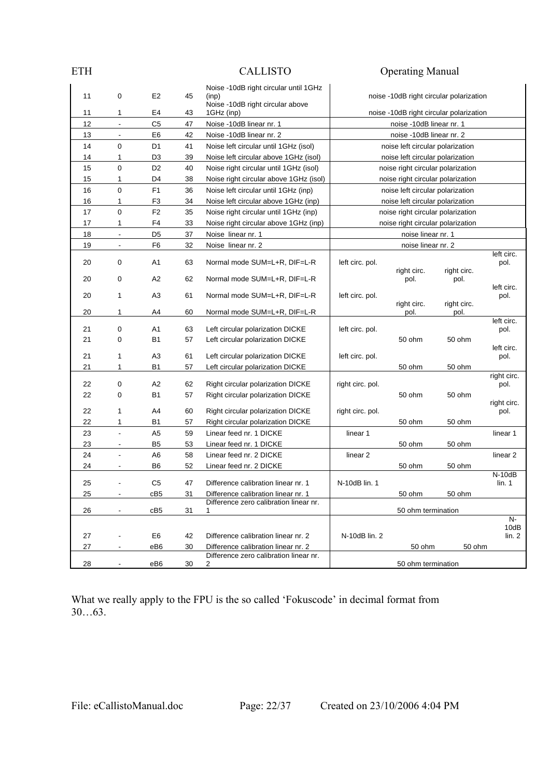| <b>ETH</b> |                          |                |    | <b>CALLISTO</b>                                                                    |                                         | <b>Operating Manual</b>                 |                     |                     |
|------------|--------------------------|----------------|----|------------------------------------------------------------------------------------|-----------------------------------------|-----------------------------------------|---------------------|---------------------|
| 11         | 0                        | E <sub>2</sub> | 45 | Noise -10dB right circular until 1GHz<br>(inp)<br>Noise -10dB right circular above | noise -10dB right circular polarization |                                         |                     |                     |
| 11         | 1                        | E4             | 43 | 1GHz (inp)                                                                         |                                         | noise -10dB right circular polarization |                     |                     |
| 12         |                          | C <sub>5</sub> | 47 | Noise -10dB linear nr. 1                                                           |                                         | noise -10dB linear nr. 1                |                     |                     |
| 13         | $\overline{\phantom{a}}$ | E <sub>6</sub> | 42 | Noise -10dB linear nr. 2                                                           |                                         | noise -10dB linear nr. 2                |                     |                     |
| 14         | $\mathbf 0$              | D1             | 41 | Noise left circular until 1GHz (isol)                                              |                                         | noise left circular polarization        |                     |                     |
| 14         | 1                        | D3             | 39 | Noise left circular above 1GHz (isol)                                              |                                         | noise left circular polarization        |                     |                     |
| 15         | $\mathbf 0$              | D <sub>2</sub> | 40 | Noise right circular until 1GHz (isol)                                             |                                         | noise right circular polarization       |                     |                     |
| 15         | 1                        | D4             | 38 | Noise right circular above 1GHz (isol)                                             |                                         | noise right circular polarization       |                     |                     |
| 16         | $\mathbf 0$              | F1             | 36 | Noise left circular until 1GHz (inp)                                               |                                         | noise left circular polarization        |                     |                     |
| 16         | 1                        | F <sub>3</sub> | 34 | Noise left circular above 1GHz (inp)                                               |                                         | noise left circular polarization        |                     |                     |
| 17         | $\mathbf 0$              | F <sub>2</sub> | 35 | Noise right circular until 1GHz (inp)                                              |                                         | noise right circular polarization       |                     |                     |
| 17         | 1                        | F4             | 33 | Noise right circular above 1GHz (inp)                                              |                                         | noise right circular polarization       |                     |                     |
| 18         | $\blacksquare$           | D <sub>5</sub> | 37 | Noise linear nr. 1                                                                 |                                         | noise linear nr. 1                      |                     |                     |
| 19         |                          | F <sub>6</sub> | 32 | Noise linear nr. 2                                                                 |                                         | noise linear nr. 2                      |                     |                     |
| 20         | $\mathbf 0$              | A1             | 63 | Normal mode SUM=L+R, DIF=L-R                                                       | left circ. pol.                         |                                         |                     | left circ.<br>pol.  |
| 20         | 0                        | A <sub>2</sub> | 62 | Normal mode SUM=L+R, DIF=L-R                                                       |                                         | right circ.<br>pol.                     | right circ.<br>pol. |                     |
| 20         | 1                        | A <sub>3</sub> | 61 | Normal mode SUM=L+R, DIF=L-R                                                       | left circ. pol.                         | right circ.                             | right circ.         | left circ.<br>pol.  |
| 20         | 1                        | A4             | 60 | Normal mode SUM=L+R, DIF=L-R                                                       |                                         | pol.                                    | pol.                |                     |
| 21         | $\mathbf 0$              | A1             | 63 | Left circular polarization DICKE                                                   | left circ. pol.                         |                                         |                     | left circ.<br>pol.  |
| 21         | $\pmb{0}$                | <b>B1</b>      | 57 | Left circular polarization DICKE                                                   |                                         | 50 ohm                                  | 50 ohm              |                     |
| 21         | 1                        | A <sub>3</sub> | 61 | Left circular polarization DICKE                                                   | left circ. pol.                         |                                         |                     | left circ.<br>pol.  |
| 21         | 1                        | B1             | 57 | Left circular polarization DICKE                                                   | 50 ohm                                  |                                         | 50 ohm              |                     |
|            |                          |                |    |                                                                                    |                                         |                                         |                     | right circ.         |
| 22         | 0                        | A <sub>2</sub> | 62 | Right circular polarization DICKE                                                  | right circ. pol.                        |                                         |                     | pol.                |
| 22         | $\pmb{0}$                | <b>B1</b>      | 57 | Right circular polarization DICKE                                                  |                                         | 50 ohm                                  | 50 ohm              | right circ.         |
| 22         | 1                        | A4             | 60 | Right circular polarization DICKE                                                  | right circ. pol.                        |                                         |                     | pol.                |
| 22         | 1                        | <b>B1</b>      | 57 | Right circular polarization DICKE                                                  |                                         | 50 ohm                                  | 50 ohm              |                     |
| 23         | $\blacksquare$           | A <sub>5</sub> | 59 | Linear feed nr. 1 DICKE                                                            | linear 1                                |                                         |                     | linear 1            |
| 23         |                          | B <sub>5</sub> | 53 | Linear feed nr. 1 DICKE                                                            |                                         | 50 ohm                                  | 50 ohm              |                     |
| 24         |                          | A6             | 58 | Linear feed nr. 2 DICKE                                                            | linear <sub>2</sub>                     |                                         |                     | linear <sub>2</sub> |
| 24         |                          | B6             | 52 | Linear feed nr. 2 DICKE                                                            |                                         | 50 ohm                                  | 50 ohm              |                     |
|            |                          |                |    |                                                                                    |                                         |                                         |                     | N-10dB              |
| 25         |                          | C <sub>5</sub> | 47 | Difference calibration linear nr. 1                                                | N-10dB lin. 1                           |                                         |                     | lin. 1              |
| 25         |                          | cB5            | 31 | Difference calibration linear nr. 1                                                |                                         | 50 ohm                                  | 50 ohm              |                     |
| 26         |                          | cB5            | 31 | Difference zero calibration linear nr.<br>1                                        |                                         | 50 ohm termination                      |                     |                     |
|            |                          |                |    |                                                                                    |                                         |                                         |                     | N-                  |
|            |                          |                |    |                                                                                    |                                         |                                         |                     | 10dB                |
| 27         |                          | E <sub>6</sub> | 42 | Difference calibration linear nr. 2                                                | N-10dB lin. 2                           |                                         |                     | lin. 2              |
| 27         |                          | eB6            | 30 | Difference calibration linear nr. 2<br>Difference zero calibration linear nr.      |                                         | 50 ohm                                  | 50 ohm              |                     |
| 28         |                          | eB6            | 30 | 2                                                                                  |                                         | 50 ohm termination                      |                     |                     |
|            |                          |                |    |                                                                                    |                                         |                                         |                     |                     |

What we really apply to the FPU is the so called 'Fokuscode' in decimal format from 30…63.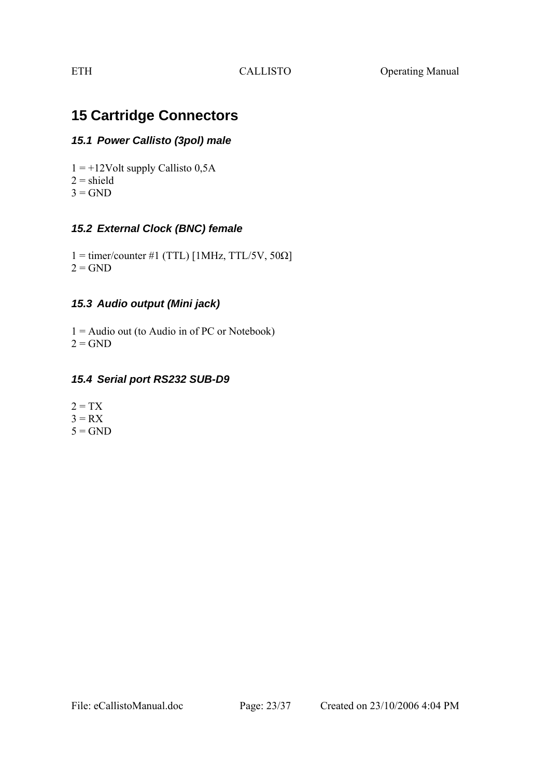## **15 Cartridge Connectors**

## *15.1 Power Callisto (3pol) male*

 $1 = +12$ Volt supply Callisto 0,5A  $2 =$ shield  $3 = GND$ 

## *15.2 External Clock (BNC) female*

 $1 =$  timer/counter #1 (TTL) [1MHz, TTL/5V, 50 $\Omega$ ]  $2 = GND$ 

## *15.3 Audio output (Mini jack)*

 $1 =$  Audio out (to Audio in of PC or Notebook)  $2 = GND$ 

## *15.4 Serial port RS232 SUB-D9*

 $2 = TX$  $3 = RX$  $5 = GND$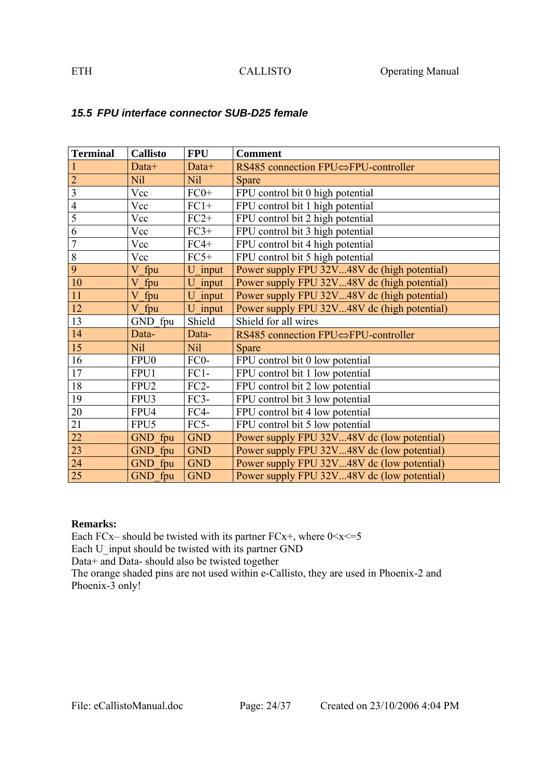### *15.5 FPU interface connector SUB-D25 female*

| <b>Terminal</b> | <b>Callisto</b>  | <b>FPU</b>        | <b>Comment</b>                              |  |
|-----------------|------------------|-------------------|---------------------------------------------|--|
| $\mathbf{1}$    | Data+            | Data+             | RS485 connection FPU⇔FPU-controller         |  |
| $\overline{2}$  | Nil              | Nil               | Spare                                       |  |
| $\overline{3}$  | Vcc              | $FC0+$            | FPU control bit 0 high potential            |  |
| $\overline{4}$  | Vcc              | $FC1+$            | FPU control bit 1 high potential            |  |
| $\overline{5}$  | Vcc              | $FC2+$            | FPU control bit 2 high potential            |  |
| $\overline{6}$  | Vcc              | $FC3+$            | FPU control bit 3 high potential            |  |
| $\overline{7}$  | Vcc              | $FC4+$            | FPU control bit 4 high potential            |  |
| $\overline{8}$  | Vcc              | $FC5+$            | FPU control bit 5 high potential            |  |
| 9               | V fpu            | U input           | Power supply FPU 32V48V dc (high potential) |  |
| 10              | $V$ fpu          | U input           | Power supply FPU 32V48V dc (high potential) |  |
| 11              | V fpu            | U input           | Power supply FPU 32V48V dc (high potential) |  |
| 12              | V fpu            | U input           | Power supply FPU 32V48V dc (high potential) |  |
| 13              | GND fpu          | Shield            | Shield for all wires                        |  |
| 14              | Data-            | Data-             | RS485 connection FPU⇔FPU-controller         |  |
| 15              | Nil              | Nil               | Spare                                       |  |
| 16              | FPU <sub>0</sub> | FC <sub>0</sub> - | FPU control bit 0 low potential             |  |
| 17              | FPU1             | $FC1-$            | FPU control bit 1 low potential             |  |
| 18              | FPU <sub>2</sub> | $FC2-$            | FPU control bit 2 low potential             |  |
| 19              | FPU3             | $FC3-$            | FPU control bit 3 low potential             |  |
| 20              | FPU4             | FC4-              | FPU control bit 4 low potential             |  |
| 21              | FPU5             | $FC5-$            | FPU control bit 5 low potential             |  |
| 22              | GND fpu          | <b>GND</b>        | Power supply FPU 32V48V dc (low potential)  |  |
| 23              | GND fpu          | <b>GND</b>        | Power supply FPU 32V48V dc (low potential)  |  |
| 24              | GND fpu          | <b>GND</b>        | Power supply FPU 32V48V dc (low potential)  |  |
| 25              | GND fpu          | <b>GND</b>        | Power supply FPU 32V48V dc (low potential)  |  |

### **Remarks:**

Each FCx– should be twisted with its partner FCx+, where  $0 \le x \le 5$ Each U\_input should be twisted with its partner GND Data+ and Data- should also be twisted together The orange shaded pins are not used within e-Callisto, they are used in Phoenix-2 and Phoenix-3 only!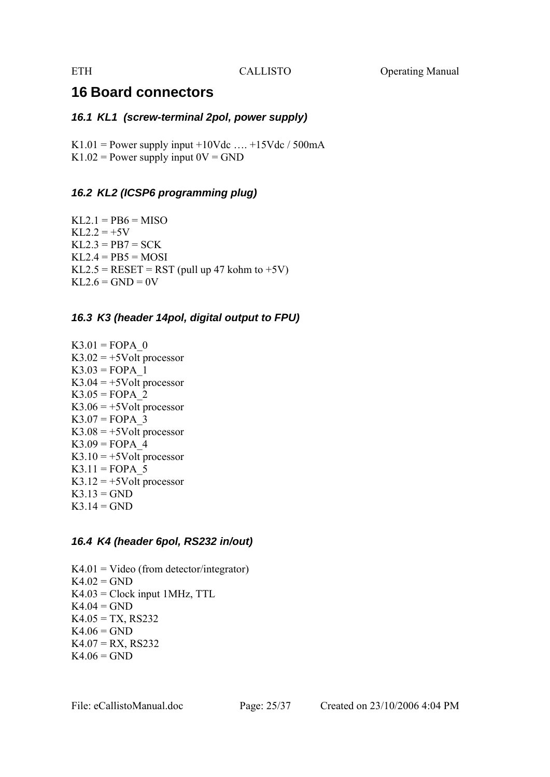## **16 Board connectors**

#### *16.1 KL1 (screw-terminal 2pol, power supply)*

K1.01 = Power supply input  $+10$ Vdc ...  $+15$ Vdc / 500mA K1.02 = Power supply input  $0V = GND$ 

#### *16.2 KL2 (ICSP6 programming plug)*

 $KL2.1 = PB6 = MISO$  $KL2.2 = +5V$  $KL2.3 = PB7 = SCK$  $KL2.4 = PB5 = MOSI$  $KL2.5 = RESET = RST$  (pull up 47 kohm to +5V)  $KL2.6 = GND = 0V$ 

#### *16.3 K3 (header 14pol, digital output to FPU)*

 $K3.01 = FOPA$ <sup>0</sup>  $K3.02 = +5$ Volt processor  $K3.03 = FOPA$  1  $K3.04 = +5$ Volt processor  $K3.05 = FOPA$  2  $K3.06 = +5$ Volt processor  $K3.07 = FOPA$  3  $K3.08 = +5$ Volt processor  $K3.09 = FOPA$  4  $K3.10 = +5$ Volt processor  $K3.11 = FOPA$  5  $K3.12 = +5$ Volt processor  $K3.13 = GND$  $K3.14 = GND$ 

#### *16.4 K4 (header 6pol, RS232 in/out)*

 $K4.01 =$  Video (from detector/integrator)  $K4.02 = GND$  $K4.03 =$  Clock input 1MHz, TTL  $K4.04 = GND$  $K4.05 = TX$ , RS232  $K4.06 = GND$  $K4.07 = RX$ , RS232  $K4.06 = GND$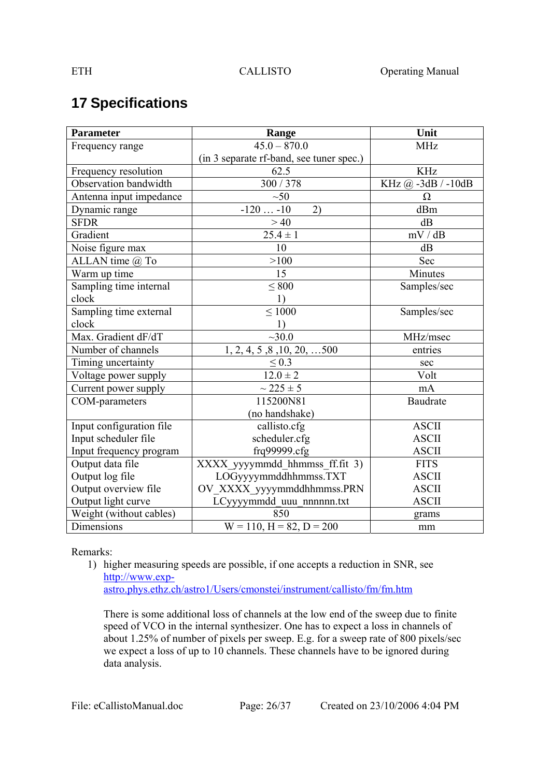## **17 Specifications**

| <b>Parameter</b>         | Range                                    | Unit               |
|--------------------------|------------------------------------------|--------------------|
| Frequency range          | $45.0 - 870.0$                           | <b>MHz</b>         |
|                          | (in 3 separate rf-band, see tuner spec.) |                    |
| Frequency resolution     | 62.5                                     | <b>KHz</b>         |
| Observation bandwidth    | 300 / 378                                | KHz @ -3dB / -10dB |
| Antenna input impedance  | $\sim 50$                                | $\Omega$           |
| Dynamic range            | $-120-10$<br>2)                          | dBm                |
| <b>SFDR</b>              | >40                                      | dB                 |
| Gradient                 | $25.4 \pm 1$                             | mV/dB              |
| Noise figure max         | 10                                       | dB                 |
| ALLAN time @ To          | >100                                     | Sec                |
| Warm up time             | 15                                       | Minutes            |
| Sampling time internal   | $\leq 800$                               | Samples/sec        |
| clock                    | 1)                                       |                    |
| Sampling time external   | $\leq 1000$                              | Samples/sec        |
| clock                    | 1)                                       |                    |
| Max. Gradient dF/dT      | ~10.0                                    | MHz/msec           |
| Number of channels       | 1, 2, 4, 5, 8, 10, 20,  500              | entries            |
| Timing uncertainty       | $\leq 0.3$                               | sec                |
| Voltage power supply     | $12.0 \pm 2$                             | Volt               |
| Current power supply     | $\sim$ 225 $\pm$ 5                       | mA                 |
| COM-parameters           | 115200N81                                | Baudrate           |
|                          | (no handshake)                           |                    |
| Input configuration file | callisto.cfg                             | <b>ASCII</b>       |
| Input scheduler file     | scheduler.cfg                            | <b>ASCII</b>       |
| Input frequency program  | frq99999.cfg                             | <b>ASCII</b>       |
| Output data file         | XXXX_yyyymmdd_hhmmss_ff.fit 3)           | <b>FITS</b>        |
| Output log file          | LOGyyyymmddhhmmss.TXT                    | <b>ASCII</b>       |
| Output overview file     | OV_XXXX_yyyymmddhhmmss.PRN               | <b>ASCII</b>       |
| Output light curve       | LCyyyymmdd uuu nnnnnn.txt                | <b>ASCII</b>       |
| Weight (without cables)  | 850                                      | grams              |
| Dimensions               | $\overline{W}$ = 110, H = 82, D = 200    | mm                 |

Remarks:

1) higher measuring speeds are possible, if one accepts a reduction in SNR, see http://www.exp-

astro.phys.ethz.ch/astro1/Users/cmonstei/instrument/callisto/fm/fm.htm

There is some additional loss of channels at the low end of the sweep due to finite speed of VCO in the internal synthesizer. One has to expect a loss in channels of about 1.25% of number of pixels per sweep. E.g. for a sweep rate of 800 pixels/sec we expect a loss of up to 10 channels. These channels have to be ignored during data analysis.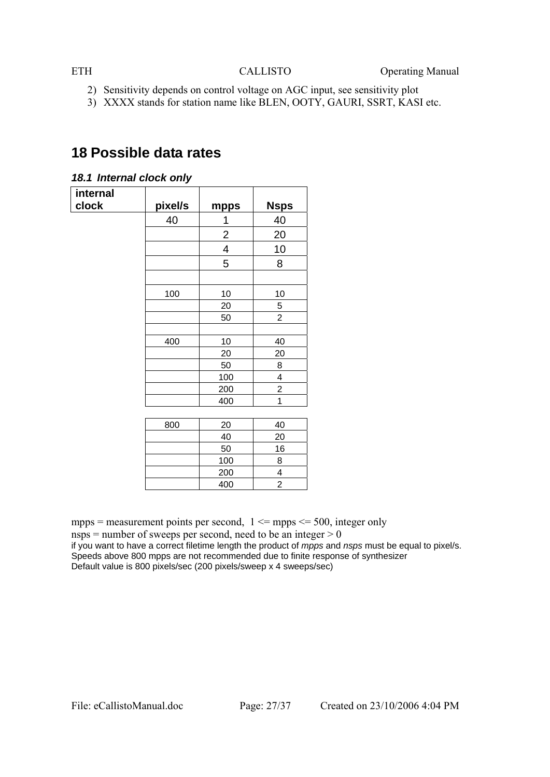- 2) Sensitivity depends on control voltage on AGC input, see sensitivity plot
- 3) XXXX stands for station name like BLEN, OOTY, GAURI, SSRT, KASI etc.

## **18 Possible data rates**

#### *18.1 Internal clock only*

| internal<br>clock | pixel/s |                | <b>Nsps</b>    |
|-------------------|---------|----------------|----------------|
|                   |         | mpps           |                |
|                   | 40      | 1              | 40             |
|                   |         | $\overline{2}$ | 20             |
|                   |         | 4              | 10             |
|                   |         | 5              | 8              |
|                   |         |                |                |
|                   | 100     | 10             | 10             |
|                   |         | 20             | 5              |
|                   |         | 50             | $\overline{2}$ |
|                   |         |                |                |
|                   | 400     | 10             | 40             |
|                   |         | 20             | 20             |
|                   |         | 50             | 8              |
|                   |         | 100            | 4              |
|                   |         | 200            | $\overline{c}$ |
|                   |         | 400            | 1              |
|                   |         |                |                |
|                   | 800     | 20             | 40             |
|                   |         | $\Lambda$      | ንስ             |

| 20<br>40<br>50<br>16<br>100<br>200<br>400 | <u>vvv</u> | ∼ | ᠇៴ |
|-------------------------------------------|------------|---|----|
|                                           |            |   |    |
|                                           |            |   |    |
|                                           |            |   |    |
|                                           |            |   |    |
|                                           |            |   |    |

mpps = measurement points per second,  $1 \le m$  mpps  $\le 500$ , integer only  $nsps = number of sweeps per second, need to be an integer  $> 0$$ if you want to have a correct filetime length the product of *mpps* and *nsps* must be equal to pixel/s. Speeds above 800 mpps are not recommended due to finite response of synthesizer Default value is 800 pixels/sec (200 pixels/sweep x 4 sweeps/sec)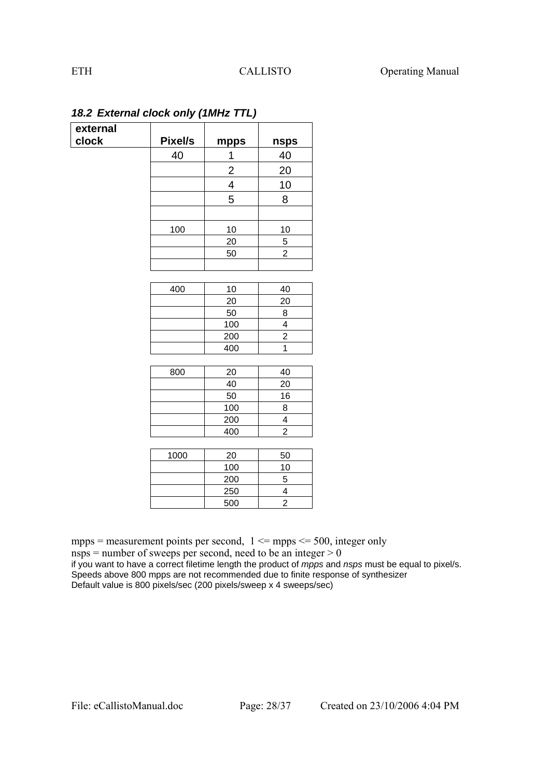| external<br>clock | Pixel/s |                         |                |
|-------------------|---------|-------------------------|----------------|
|                   |         | mpps                    | <u>nsps</u>    |
|                   | 40      | 1                       | 40             |
|                   |         | $\overline{c}$          | 20             |
|                   |         | $\overline{\mathbf{4}}$ | 10             |
|                   |         | 5                       | 8              |
|                   |         |                         |                |
|                   | 100     | 10                      | 10             |
|                   |         | 20                      | 5              |
|                   |         | 50                      | $\overline{2}$ |
|                   |         |                         |                |
|                   |         |                         |                |
|                   | 400     | 10                      | 40             |
|                   |         | 20                      | 20             |
|                   |         | 50                      | 8              |
|                   |         | 100                     | 4              |
|                   |         | 200                     | $\overline{c}$ |
|                   |         | 400                     | $\overline{1}$ |
|                   | 800     | 20                      | 40             |
|                   |         |                         |                |
|                   |         | 40                      | 20             |
|                   |         | 50<br>100               | 16<br>8        |
|                   |         |                         | 4              |
|                   |         | 200<br>400              | $\overline{2}$ |
|                   |         |                         |                |
|                   | 1000    | 20                      | 50             |
|                   |         | 100                     | 10             |
|                   |         | 200                     | $\mathbf 5$    |
|                   |         | 250                     | 4              |
|                   |         | 500                     | $\overline{2}$ |

*18.2 External clock only (1MHz TTL)* 

mpps = measurement points per second,  $1 \le m$  mpps  $\le 500$ , integer only nsps = number of sweeps per second, need to be an integer  $> 0$ if you want to have a correct filetime length the product of *mpps* and *nsps* must be equal to pixel/s. Speeds above 800 mpps are not recommended due to finite response of synthesizer Default value is 800 pixels/sec (200 pixels/sweep x 4 sweeps/sec)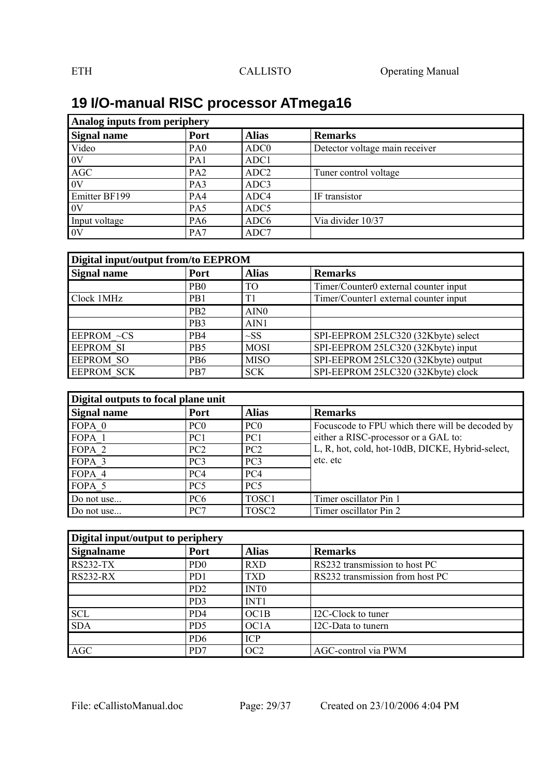## **19 I/O-manual RISC processor ATmega16**

| Analog inputs from periphery |                 |                  |                                |  |  |
|------------------------------|-----------------|------------------|--------------------------------|--|--|
| Signal name                  | Port            | <b>Alias</b>     | <b>Remarks</b>                 |  |  |
| Video                        | PA <sub>0</sub> | ADC <sub>0</sub> | Detector voltage main receiver |  |  |
| 0V                           | PA <sub>1</sub> | ADC1             |                                |  |  |
| AGC                          | PA <sub>2</sub> | ADC <sub>2</sub> | Tuner control voltage          |  |  |
| 0V                           | PA3             | ADC3             |                                |  |  |
| Emitter BF199                | PA4             | ADC4             | IF transistor                  |  |  |
| 0V                           | PA5             | ADC <sub>5</sub> |                                |  |  |
| Input voltage                | PA <sub>6</sub> | ADC <sub>6</sub> | Via divider 10/37              |  |  |
| 0V                           | PA7             | ADC7             |                                |  |  |

| Digital input/output from/to EEPROM |                  |                  |                                       |  |
|-------------------------------------|------------------|------------------|---------------------------------------|--|
| Signal name                         | Port             | <b>Alias</b>     | <b>Remarks</b>                        |  |
|                                     | P <sub>B</sub> 0 | TO               | Timer/Counter0 external counter input |  |
| Clock 1MHz                          | P <sub>B</sub> 1 | T1               | Timer/Counter1 external counter input |  |
|                                     | P <sub>B2</sub>  | AIN <sub>0</sub> |                                       |  |
|                                     | PB <sub>3</sub>  | AIN1             |                                       |  |
| EEPROM~CS                           | P <sub>B4</sub>  | $\sim$ SS        | SPI-EEPROM 25LC320 (32Kbyte) select   |  |
| <b>EEPROM SI</b>                    | P <sub>B5</sub>  | <b>MOSI</b>      | SPI-EEPROM 25LC320 (32Kbyte) input    |  |
| <b>EEPROM SO</b>                    | P <sub>B6</sub>  | <b>MISO</b>      | SPI-EEPROM 25LC320 (32Kbyte) output   |  |
| <b>EEPROM SCK</b>                   | P <sub>B</sub> 7 | <b>SCK</b>       | SPI-EEPROM 25LC320 (32Kbyte) clock    |  |

| Digital outputs to focal plane unit |                 |                   |                                                  |  |
|-------------------------------------|-----------------|-------------------|--------------------------------------------------|--|
| Signal name                         | Port            | <b>Alias</b>      | <b>Remarks</b>                                   |  |
| FOPA 0                              | PC <sub>0</sub> | PC <sub>0</sub>   | Focuscode to FPU which there will be decoded by  |  |
| FOPA 1                              | PC <sub>1</sub> | PC <sub>1</sub>   | either a RISC-processor or a GAL to:             |  |
| FOPA <sub>2</sub>                   | PC <sub>2</sub> | PC <sub>2</sub>   | L, R, hot, cold, hot-10dB, DICKE, Hybrid-select, |  |
| FOPA 3                              | PC <sub>3</sub> | PC <sub>3</sub>   | etc. etc                                         |  |
| FOPA 4                              | PC4             | PC <sub>4</sub>   |                                                  |  |
| FOPA 5                              | PC <sub>5</sub> | PC <sub>5</sub>   |                                                  |  |
| Do not use                          | PC <sub>6</sub> | TOSC <sub>1</sub> | Timer oscillator Pin 1                           |  |
| Do not use                          | PC <sub>7</sub> | TOSC <sub>2</sub> | Timer oscillator Pin 2                           |  |

| Digital input/output to periphery |                             |                   |                                 |
|-----------------------------------|-----------------------------|-------------------|---------------------------------|
| <b>Signalname</b>                 | Port                        | <b>Alias</b>      | <b>Remarks</b>                  |
| <b>RS232-TX</b>                   | PD <sub>0</sub>             | <b>RXD</b>        | RS232 transmission to host PC   |
| <b>RS232-RX</b>                   | PD <sub>1</sub>             | <b>TXD</b>        | RS232 transmission from host PC |
|                                   | P <sub>D</sub> <sub>2</sub> | INT <sub>0</sub>  |                                 |
|                                   | PD <sub>3</sub>             | INT <sub>1</sub>  |                                 |
| <b>SCL</b>                        | PD <sub>4</sub>             | OC1B              | I2C-Clock to tuner              |
| <b>SDA</b>                        | P <sub>D5</sub>             | OC <sub>1</sub> A | I2C-Data to tunern              |
|                                   | P <sub>D6</sub>             | <b>ICP</b>        |                                 |
| <b>AGC</b>                        | PD7                         | OC <sub>2</sub>   | AGC-control via PWM             |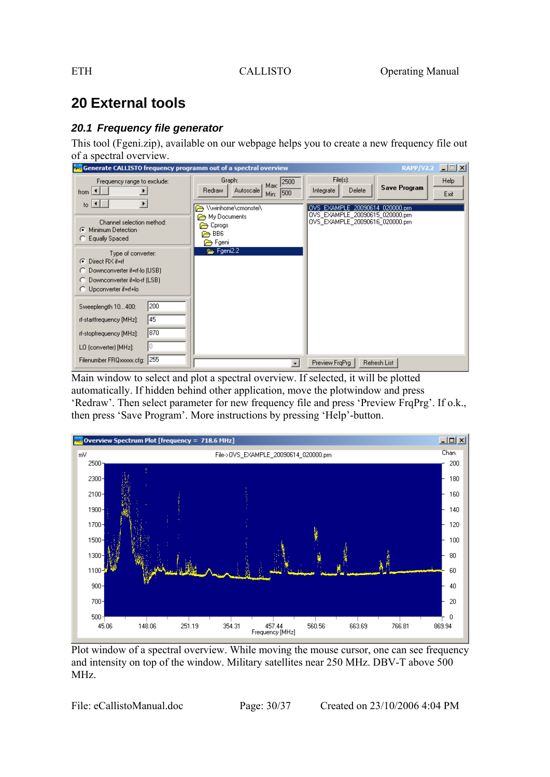## **20 External tools**

## *20.1 Frequency file generator*

This tool (Fgeni.zip), available on our webpage helps you to create a new frequency file out of a spectral overview.

| Generate CALLISTO frequency programm out of a spectral overview                                                                     |                                                                                                 | $\Box$ $\Box$ $\times$<br><b>RAPP/V2.2</b>                                                         |  |
|-------------------------------------------------------------------------------------------------------------------------------------|-------------------------------------------------------------------------------------------------|----------------------------------------------------------------------------------------------------|--|
| Frequency range to exclude:<br>from $\vert \cdot \vert$<br>$\blacktriangleright$<br>to $\vert \cdot \vert$                          | Graph:<br>$Max$ 2500<br><b>Redraw</b><br>Autoscale<br> 500 <br>Min:                             | File(s):<br><b>Help</b><br>Save Program<br>Delete<br>Integrate<br>Exit                             |  |
| Channel selection method:<br>Minimum Detection<br>G<br>Equally Spaced                                                               | \\winhome\cmonstei\<br>My Documents<br>$\rightarrow$ Cprogs<br>BB <sub>6</sub><br>2<br>⊢Fgeni ה | OVS EXAMPLE 20090614 020000.pm<br>0VS_EXAMPLE_20090615_020000.pm<br>OVS_EXAMPLE_20090616_020000.pm |  |
| Type of converter:<br>Direct RX if=rf<br>G.<br>Downconverter if=rf-lo (USB)<br>Downconverter if=lo-rf (LSB)<br>Upconverter if=rf+lo | Fgeni2.2                                                                                        |                                                                                                    |  |
| 200<br>Sweeplength 10400:<br>45<br>rf-startfrequency [MHz]:<br> 870<br>rf-stopfrequency [MHz]:<br>LO (converter) [MHz]:             |                                                                                                 |                                                                                                    |  |
| 255<br>Filenumber FRQxxxxx.cfg:                                                                                                     | $\mathbf{r}$                                                                                    | Preview FrgPrg<br>Refresh List                                                                     |  |

Main window to select and plot a spectral overview. If selected, it will be plotted automatically. If hidden behind other application, move the plotwindow and press 'Redraw'. Then select parameter for new frequency file and press 'Preview FrqPrg'. If o.k., then press 'Save Program'. More instructions by pressing 'Help'-button.



Plot window of a spectral overview. While moving the mouse cursor, one can see frequency and intensity on top of the window. Military satellites near 250 MHz. DBV-T above 500 MHz.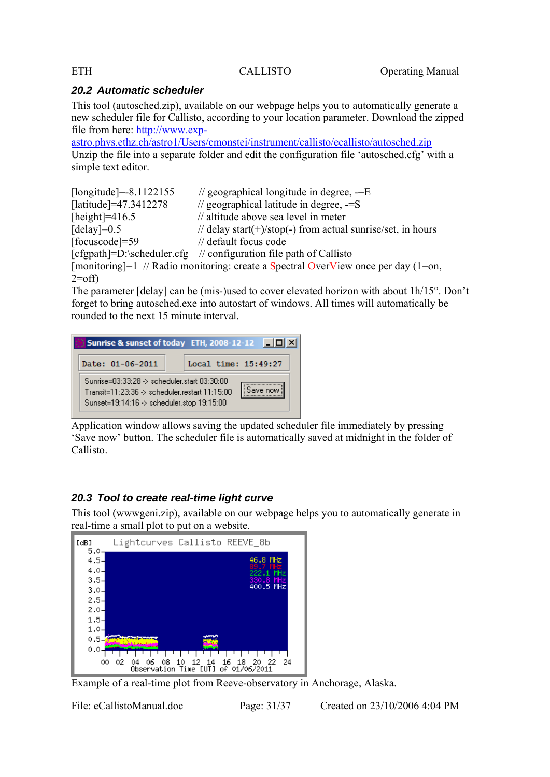## *20.2 Automatic scheduler*

This tool (autosched.zip), available on our webpage helps you to automatically generate a new scheduler file for Callisto, according to your location parameter. Download the zipped file from here: http://www.exp-

astro.phys.ethz.ch/astro1/Users/cmonstei/instrument/callisto/ecallisto/autosched.zip Unzip the file into a separate folder and edit the configuration file 'autosched.cfg' with a simple text editor.

| [longitude]= $-8.1122155$ | // geographical longitude in degree, $=E$                                          |
|---------------------------|------------------------------------------------------------------------------------|
| [latitude]=47.3412278     | // geographical latitude in degree, $=$ S                                          |
| [height]= $416.5$ ]       | // altitude above sea level in meter                                               |
| [delay]= $0.5$            | // delay start(+)/stop(-) from actual sunrise/set, in hours                        |
| [focuscode]=59            | // default focus code                                                              |
|                           | [cfgpath]=D:\scheduler.cfg // configuration file path of Callisto                  |
|                           | [monitoring]=1 // Radio monitoring: create a Spectral OverView once per day (1=on, |
| $2=$ off)                 |                                                                                    |
| $\sim$                    |                                                                                    |

The parameter [delay] can be (mis-)used to cover elevated horizon with about 1h/15°. Don't forget to bring autosched.exe into autostart of windows. All times will automatically be rounded to the next 15 minute interval.

|                                                                                                                                                                   | Sunrise & sunset of today ETH, 2008-12-12 <b>19</b> 8 |  |  |  |
|-------------------------------------------------------------------------------------------------------------------------------------------------------------------|-------------------------------------------------------|--|--|--|
| Date: 01-06-2011                                                                                                                                                  | Local time: 15:49:27                                  |  |  |  |
| Sunrise=03:33:28 -> scheduler.start 03:30:00<br>$\text{Transit}$ =11:23:36 $\rightarrow$ scheduler.restart 11:15:00<br>Sunset=19:14:16 -> scheduler.stop 19:15:00 |                                                       |  |  |  |

Application window allows saving the updated scheduler file immediately by pressing 'Save now' button. The scheduler file is automatically saved at midnight in the folder of Callisto.

## *20.3 Tool to create real-time light curve*

This tool (wwwgeni.zip), available on our webpage helps you to automatically generate in real-time a small plot to put on a website.



Example of a real-time plot from Reeve-observatory in Anchorage, Alaska.

File: eCallistoManual.doc Page: 31/37 Created on 23/10/2006 4:04 PM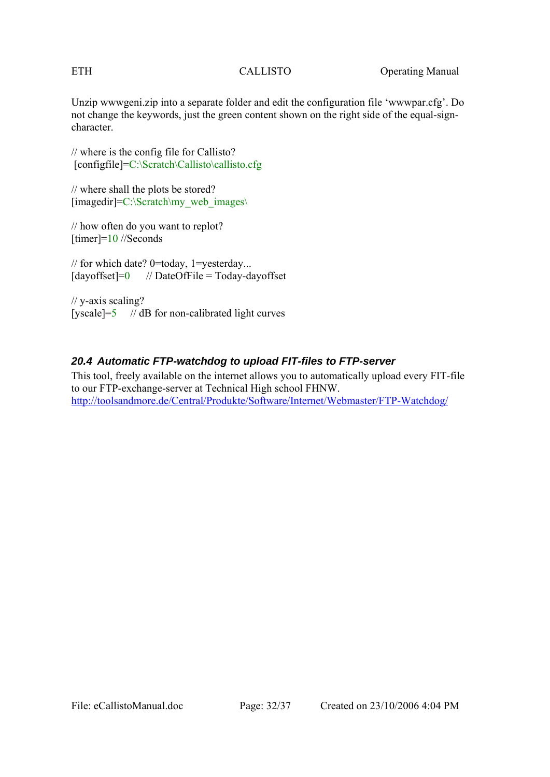Unzip wwwgeni.zip into a separate folder and edit the configuration file 'wwwpar.cfg'. Do not change the keywords, just the green content shown on the right side of the equal-signcharacter.

// where is the config file for Callisto? [configfile]=C:\Scratch\Callisto\callisto.cfg

// where shall the plots be stored? [imagedir]=C:\Scratch\my\_web\_images\

// how often do you want to replot? [timer]=10 //Seconds

// for which date? 0=today, 1=yesterday...  $\text{[dayoffset]} = 0$  // DateOfFile = Today-dayoffset

// y-axis scaling? [yscale]= $5$  // dB for non-calibrated light curves

### *20.4 Automatic FTP-watchdog to upload FIT-files to FTP-server*

This tool, freely available on the internet allows you to automatically upload every FIT-file to our FTP-exchange-server at Technical High school FHNW. http://toolsandmore.de/Central/Produkte/Software/Internet/Webmaster/FTP-Watchdog/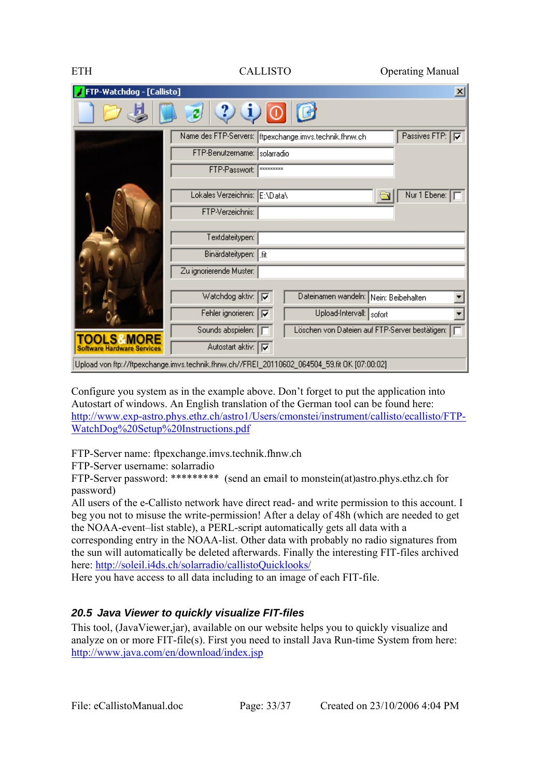| FTP-Watchdog - [Callisto]<br>$\mathbf{x}$ |                                                                         |                                                                                              |              |
|-------------------------------------------|-------------------------------------------------------------------------|----------------------------------------------------------------------------------------------|--------------|
|                                           | $Q$ io<br>e)                                                            |                                                                                              |              |
|                                           | Name des FTP-Servers: ftpexchange.imvs.technik.fhnw.ch                  | Passives FTP: D                                                                              |              |
|                                           | FTP-Benutzername:<br>Isolarradio                                        |                                                                                              |              |
|                                           | FTP-Passwort:<br><b>xxxxxxxxxx</b>                                      |                                                                                              |              |
|                                           | Lokales Verzeichnis: E:\Data\                                           |                                                                                              | Nur 1 Ebene: |
|                                           | FTP-Verzeichnis:                                                        |                                                                                              |              |
|                                           |                                                                         |                                                                                              |              |
|                                           | Textdateitypen:                                                         |                                                                                              |              |
|                                           | Binärdateitypen: fit                                                    |                                                                                              |              |
|                                           | Zu ignorierende Muster:                                                 |                                                                                              |              |
|                                           |                                                                         |                                                                                              |              |
|                                           | Watchdog aktiv: F                                                       | Dateinamen wandeln: Nein: Beibehalten                                                        |              |
|                                           | Fehler ignorieren:<br>$\overline{v}$                                    | Upload-Intervall: sofort                                                                     |              |
| <b>TOOLS&amp;MORE</b>                     | Löschen von Dateien auf FTP-Server bestätigen:   □<br>Sounds abspielen: |                                                                                              |              |
| <b>Software Hardware Services</b>         | Autostart aktiv:   V                                                    |                                                                                              |              |
|                                           |                                                                         | Upload von ftp://ftpexchange.imvs.technik.fhnw.ch//FREI_20110602_064504_59.fit OK [07:00:02] |              |

Configure you system as in the example above. Don't forget to put the application into Autostart of windows. An English translation of the German tool can be found here: http://www.exp-astro.phys.ethz.ch/astro1/Users/cmonstei/instrument/callisto/ecallisto/FTP-WatchDog%20Setup%20Instructions.pdf

FTP-Server name: ftpexchange.imvs.technik.fhnw.ch

FTP-Server username: solarradio

FTP-Server password: \*\*\*\*\*\*\*\*\* (send an email to monstein(at)astro.phys.ethz.ch for password)

All users of the e-Callisto network have direct read- and write permission to this account. I beg you not to misuse the write-permission! After a delay of 48h (which are needed to get the NOAA-event–list stable), a PERL-script automatically gets all data with a

corresponding entry in the NOAA-list. Other data with probably no radio signatures from the sun will automatically be deleted afterwards. Finally the interesting FIT-files archived here: http://soleil.i4ds.ch/solarradio/callistoQuicklooks/

Here you have access to all data including to an image of each FIT-file.

## *20.5 Java Viewer to quickly visualize FIT-files*

This tool, (JavaViewer,jar), available on our website helps you to quickly visualize and analyze on or more FIT-file(s). First you need to install Java Run-time System from here: http://www.java.com/en/download/index.jsp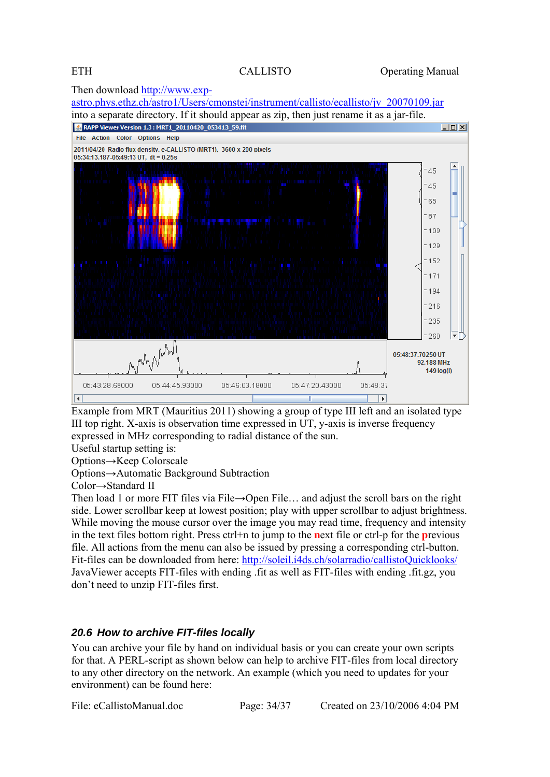#### Then download http://www.expastro.phys.ethz.ch/astro1/Users/cmonstei/instrument/callisto/ecallisto/jv\_20070109.jar into a separate directory. If it should appear as zip, then just rename it as a jar-file. **ARAPP Viewer Version 1.3 : MRT1\_20110420\_053413\_59.fit**  $-10x$ File Action Color Options Help 2011/04/20 Radio flux density, e-CALLISTO (MRT1), 3600 x 200 pixels 05:34:13.187-05:49:13 UT, dt = 0.25s  $45$ 45 65 87 109 129 152 171 194  $-216$  $-235$ 260 rh N<sup>M</sup> 05:48:37.70250 UT 92.188 MHz 149 log(l) 05:44:45.93000 05:47:20.43000 05:43:28.68000 05:48:37 05:46:03.18000

Example from MRT (Mauritius 2011) showing a group of type III left and an isolated type III top right. X-axis is observation time expressed in UT, y-axis is inverse frequency expressed in MHz corresponding to radial distance of the sun.

Useful startup setting is:

Options→Keep Colorscale

Options→Automatic Background Subtraction

Color→Standard II

 $\overline{|\cdot|}$ 

Then load 1 or more FIT files via File→Open File… and adjust the scroll bars on the right side. Lower scrollbar keep at lowest position; play with upper scrollbar to adjust brightness. While moving the mouse cursor over the image you may read time, frequency and intensity in the text files bottom right. Press ctrl+n to jump to the **n**ext file or ctrl-p for the **p**revious file. All actions from the menu can also be issued by pressing a corresponding ctrl-button. Fit-files can be downloaded from here: http://soleil.i4ds.ch/solarradio/callistoQuicklooks/ JavaViewer accepts FIT-files with ending .fit as well as FIT-files with ending .fit.gz, you don't need to unzip FIT-files first.

### *20.6 How to archive FIT-files locally*

You can archive your file by hand on individual basis or you can create your own scripts for that. A PERL-script as shown below can help to archive FIT-files from local directory to any other directory on the network. An example (which you need to updates for your environment) can be found here:

 $\overline{\phantom{a}}$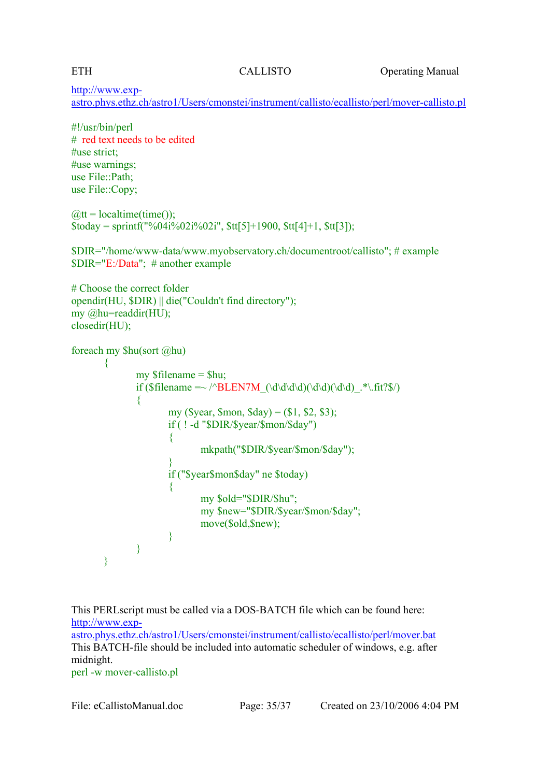http://www.expastro.phys.ethz.ch/astro1/Users/cmonstei/instrument/callisto/ecallisto/perl/mover-callisto.pl

#!/usr/bin/perl # red text needs to be edited #use strict; #use warnings; use File::Path; use File::Copy;

```
@tt = localtime(time());\text{Stoday} = \text{spring}("\%04i\%02i\%02i", \text{Stt[5]+1900}, \text{Stt[4]+1}, \text{Stt[3]});
```
\$DIR="/home/www-data/www.myobservatory.ch/documentroot/callisto"; # example \$DIR="E:/Data"; # another example

```
# Choose the correct folder 
opendir(HU, $DIR) || die("Couldn't find directory"); 
my @hu=readdir(HU); 
closedir(HU);
```
foreach my \$hu(sort @hu)

```
\left\{\begin{array}{c} \end{array}\right.my $filename = Shu;
            if ($filename = \sim /^BLEN7M_(\d\d\d\d\d)(\d\d)(\d\d)_*\.fit?$/)
\{my ($year, $mon, $day) = (1, 2, 3);
                   if ( ! -d "$DIR/$year/$mon/$day") 
\{ mkpath("$DIR/$year/$mon/$day"); 
 } 
                   if ("$year$mon$day" ne $today) 
\{ my $old="$DIR/$hu"; 
                         my $new="$DIR/$year/$mon/$day"; 
                         move($old,$new); 
 } 
 } 
       }
```
This PERLscript must be called via a DOS-BATCH file which can be found here: http://www.exp-

astro.phys.ethz.ch/astro1/Users/cmonstei/instrument/callisto/ecallisto/perl/mover.bat This BATCH-file should be included into automatic scheduler of windows, e.g. after midnight.

perl -w mover-callisto.pl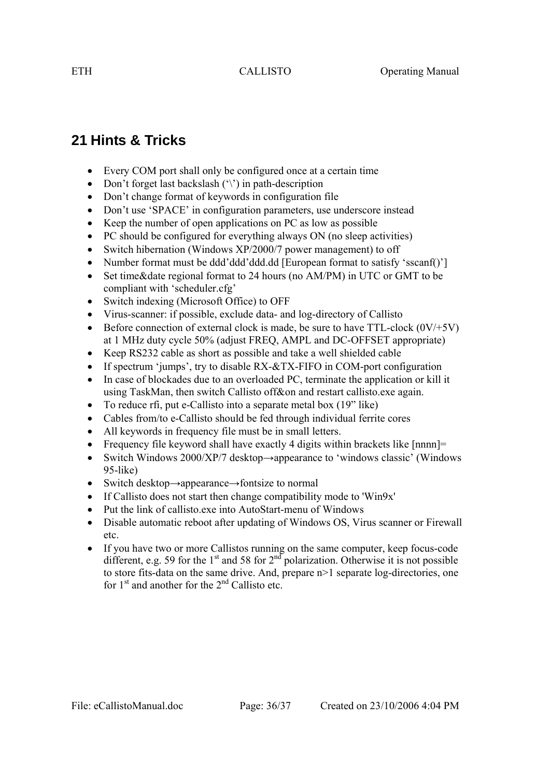## **21 Hints & Tricks**

- Every COM port shall only be configured once at a certain time
- Don't forget last backslash  $(\hat{\ }')$  in path-description
- Don't change format of keywords in configuration file
- Don't use 'SPACE' in configuration parameters, use underscore instead
- Keep the number of open applications on PC as low as possible
- PC should be configured for everything always ON (no sleep activities)
- Switch hibernation (Windows XP/2000/7 power management) to off
- Number format must be ddd'ddd'ddd.dd [European format to satisfy 'sscanf()']
- Set time&date regional format to 24 hours (no AM/PM) in UTC or GMT to be compliant with 'scheduler.cfg'
- Switch indexing (Microsoft Office) to OFF
- Virus-scanner: if possible, exclude data- and log-directory of Callisto
- Before connection of external clock is made, be sure to have TTL-clock  $(0V/+5V)$ at 1 MHz duty cycle 50% (adjust FREQ, AMPL and DC-OFFSET appropriate)
- Keep RS232 cable as short as possible and take a well shielded cable
- If spectrum 'jumps', try to disable RX-&TX-FIFO in COM-port configuration
- In case of blockades due to an overloaded PC, terminate the application or kill it using TaskMan, then switch Callisto off&on and restart callisto.exe again.
- To reduce rfi, put e-Callisto into a separate metal box (19" like)
- Cables from/to e-Callisto should be fed through individual ferrite cores
- All keywords in frequency file must be in small letters.
- Frequency file keyword shall have exactly 4 digits within brackets like [nnnn]=
- Switch Windows 2000/XP/7 desktop→appearance to 'windows classic' (Windows 95-like)
- Switch desktop→appearance→fontsize to normal
- If Callisto does not start then change compatibility mode to 'Win9x'
- Put the link of callisto.exe into AutoStart-menu of Windows
- Disable automatic reboot after updating of Windows OS, Virus scanner or Firewall etc.
- If you have two or more Callistos running on the same computer, keep focus-code different, e.g. 59 for the 1<sup>st</sup> and 58 for  $2<sup>nd</sup>$  polarization. Otherwise it is not possible to store fits-data on the same drive. And, prepare n>1 separate log-directories, one for  $1<sup>st</sup>$  and another for the  $2<sup>nd</sup>$  Callisto etc.